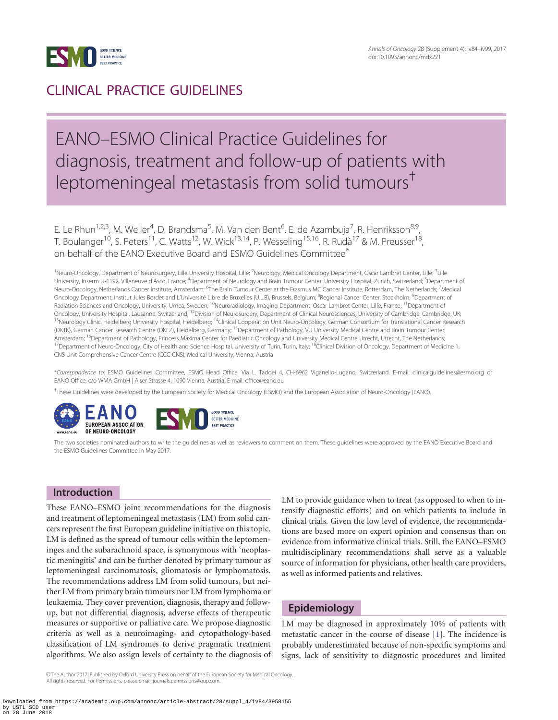

### CLINICAL PRACTICE GUIDELINES

### EANO–ESMO Clinical Practice Guidelines for diagnosis, treatment and follow-up of patients with leptomeningeal metastasis from solid tumours†

E. Le Rhun<sup>1,2,3</sup>, M. Weller<sup>4</sup>, D. Brandsma<sup>5</sup>, M. Van den Bent<sup>6</sup>, E. de Azambuja<sup>7</sup>, R. Henriksson<sup>8,9</sup>, T. Boulanger<sup>10</sup>, S. Peters<sup>11</sup>, C. Watts<sup>12</sup>, W. Wick<sup>13,14</sup>, P. Wesseling<sup>15,16</sup>, R. Rudà<sup>17</sup> & M. Preusser<sup>18</sup>, on behalf of the EANO Executive Board and ESMO Guidelines Committee\*

<sup>1</sup> Neuro-Oncology, Department of Neurosurgery, Lille University Hospital, Lille; <sup>2</sup> Neurology, Medical Oncology Department, Oscar Lambret Center, Lille; <sup>3</sup>Lille University, Inserm U-1192, Villeneuve d'Ascq, France; <sup>4</sup>Department of Neurology and Brain Tumour Center, University Hospital, Zurich, Switzerland; <sup>5</sup>Department of Neuro-Oncology, Netherlands Cancer Institute, Amsterdam; <sup>6</sup>The Brain Tumour Center at the Erasmus MC Cancer Institute, Rotterdam, The Netherlands; <sup>7</sup>Medical Oncology Department, Institut Jules Bordet and L'Université Libre de Bruxelles (U.L.B), Brussels, Belgium; <sup>8</sup>Regional Cancer Center, Stockholm; <sup>9</sup>Department of Radiation Sciences and Oncology, University, Umea, Sweden; <sup>10</sup>Neuroradiology, Imaging Department, Oscar Lambret Center, Lille, France; <sup>11</sup>Department of Oncology, University Hospital, Lausanne, Switzerland; <sup>12</sup>Division of Neurosurgery, Department of Clinical Neurosciences, University of Cambridge, Cambridge, UK; <sup>13</sup>Neurology Clinic, Heidelberg University Hospital, Heidelberg; <sup>14</sup>Clinical Cooperation Unit Neuro-Oncology, German Consortium for Translational Cancer Research (DKTK), German Cancer Research Centre (DKFZ), Heidelberg, Germany; 15Department of Pathology, VU University Medical Centre and Brain Tumour Center, Amsterdam; <sup>16</sup>Department of Pathology, Princess Máxima Center for Paediatric Oncology and University Medical Centre Utrecht, Utrecht, The Netherlands; <sup>17</sup>Department of Neuro-Oncology, City of Health and Science Hospital, University of Turin, Turin, Italy; <sup>18</sup>Clinical Division of Oncology, Department of Medicine 1, CNS Unit Comprehensive Cancer Centre (CCC-CNS), Medical University, Vienna, Austria

\*Correspondence to: ESMO Guidelines Committee, ESMO Head Office, Via L. Taddei 4, CH-6962 Viganello-Lugano, Switzerland. E-mail: clinicalguidelines@esmo.org or EANO Office, c/o WMA GmbH | Alser Strasse 4, 1090 Vienna, Austria; E-mail: office@eano.eu

† These Guidelines were developed by the European Society for Medical Oncology (ESMO) and the European Association of Neuro-Oncology (EANO).



The two societies nominated authors to write the guidelines as well as reviewers to comment on them. These guidelines were approved by the EANO Executive Board and the ESMO Guidelines Committee in May 2017.

#### Introduction

These EANO–ESMO joint recommendations for the diagnosis and treatment of leptomeningeal metastasis (LM) from solid cancers represent the first European guideline initiative on this topic. LM is defined as the spread of tumour cells within the leptomeninges and the subarachnoid space, is synonymous with 'neoplastic meningitis' and can be further denoted by primary tumour as leptomeningeal carcinomatosis, gliomatosis or lymphomatosis. The recommendations address LM from solid tumours, but neither LM from primary brain tumours nor LM from lymphoma or leukaemia. They cover prevention, diagnosis, therapy and followup, but not differential diagnosis, adverse effects of therapeutic measures or supportive or palliative care. We propose diagnostic criteria as well as a neuroimaging- and cytopathology-based classification of LM syndromes to derive pragmatic treatment algorithms. We also assign levels of certainty to the diagnosis of LM to provide guidance when to treat (as opposed to when to intensify diagnostic efforts) and on which patients to include in clinical trials. Given the low level of evidence, the recommendations are based more on expert opinion and consensus than on evidence from informative clinical trials. Still, the EANO–ESMO multidisciplinary recommendations shall serve as a valuable source of information for physicians, other health care providers, as well as informed patients and relatives.

#### Epidemiology

LM may be diagnosed in approximately 10% of patients with metastatic cancer in the course of disease [\[1\]](#page-12-0). The incidence is probably underestimated because of non-specific symptoms and signs, lack of sensitivity to diagnostic procedures and limited

<sup>©</sup> The Author 2017. Published by Oxford University Press on behalf of the European Society for Medical Oncology All rights reserved. For Permissions, please email: journals.permissions@oup.com.

Downloaded from https://academic.oup.com/annonc/article-abstract/28/suppl\_4/iv84/3958155 by USTL SCD user on 28 June 2018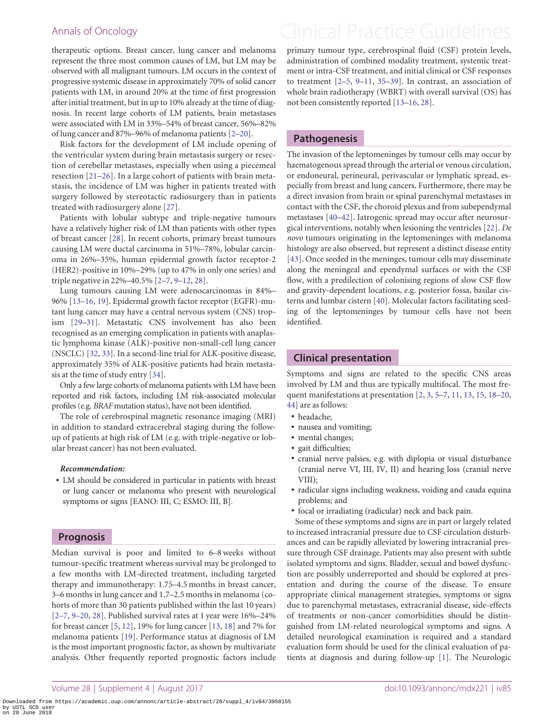therapeutic options. Breast cancer, lung cancer and melanoma represent the three most common causes of LM, but LM may be observed with all malignant tumours. LM occurs in the context of progressive systemic disease in approximately 70% of solid cancer patients with LM, in around 20% at the time of first progression after initial treatment, but in up to 10% already at the time of diagnosis. In recent large cohorts of LM patients, brain metastases were associated with LM in 33%–54% of breast cancer, 56%–82% of lung cancer and 87%–96% of melanoma patients [[2](#page-12-0)[–20](#page-13-0)].

Risk factors for the development of LM include opening of the ventricular system during brain metastasis surgery or resection of cerebellar metastases, especially when using a piecemeal resection [[21–26](#page-13-0)]. In a large cohort of patients with brain metastasis, the incidence of LM was higher in patients treated with surgery followed by stereotactic radiosurgery than in patients treated with radiosurgery alone [[27\]](#page-13-0).

Patients with lobular subtype and triple-negative tumours have a relatively higher risk of LM than patients with other types of breast cancer [\[28](#page-13-0)]. In recent cohorts, primary breast tumours causing LM were ductal carcinoma in 51%–78%, lobular carcinoma in 26%–35%, human epidermal growth factor receptor-2 (HER2)-positive in 10%–29% (up to 47% in only one series) and triple negative in 22%–40.5% [\[2–7,](#page-12-0) [9–12](#page-12-0), [28\]](#page-13-0).

Lung tumours causing LM were adenocarcinomas in 84%– 96% [\[13–16](#page-12-0), [19\]](#page-12-0). Epidermal growth factor receptor (EGFR)-mutant lung cancer may have a central nervous system (CNS) tropism [\[29–31](#page-13-0)]. Metastatic CNS involvement has also been recognised as an emerging complication in patients with anaplastic lymphoma kinase (ALK)-positive non-small-cell lung cancer (NSCLC) [\[32,](#page-13-0) [33\]](#page-13-0). In a second-line trial for ALK-positive disease, approximately 35% of ALK-positive patients had brain metastasis at the time of study entry [\[34](#page-13-0)].

Only a few large cohorts of melanoma patients with LM have been reported and risk factors, including LM risk-associated molecular profiles (e.g. BRAF mutation status), have not been identified.

The role of cerebrospinal magnetic resonance imaging (MRI) in addition to standard extracerebral staging during the followup of patients at high risk of LM (e.g. with triple-negative or lobular breast cancer) has not been evaluated.

#### Recommendation:

• LM should be considered in particular in patients with breast or lung cancer or melanoma who present with neurological symptoms or signs [EANO: III, C; ESMO: III, B].

#### Prognosis

Median survival is poor and limited to 6–8 weeks without tumour-specific treatment whereas survival may be prolonged to a few months with LM-directed treatment, including targeted therapy and immunotherapy: 1.75–4.5 months in breast cancer, 3–6 months in lung cancer and 1.7–2.5 months in melanoma (cohorts of more than 30 patients published within the last 10 years) [\[2–7](#page-12-0), [9–20](#page-12-0), [28\]](#page-13-0). Published survival rates at 1 year were 16%–24% for breast cancer [\[5,](#page-12-0) [12\]](#page-12-0), 19% for lung cancer [[13,](#page-12-0) [18](#page-12-0)] and 7% for melanoma patients [\[19\]](#page-12-0). Performance status at diagnosis of LM is the most important prognostic factor, as shown by multivariate analysis. Other frequently reported prognostic factors include

## Annals of Oncology **Annals of Oncology Clinical Practice Guidelines**

primary tumour type, cerebrospinal fluid (CSF) protein levels, administration of combined modality treatment, systemic treatment or intra-CSF treatment, and initial clinical or CSF responses to treatment [[2–5,](#page-12-0) [9–11,](#page-12-0) [35–39](#page-13-0)]. In contrast, an association of whole brain radiotherapy (WBRT) with overall survival (OS) has not been consistently reported [[13–16,](#page-12-0) [28](#page-13-0)].

#### **Pathogenesis**

The invasion of the leptomeninges by tumour cells may occur by haematogenous spread through the arterial or venous circulation, or endoneural, perineural, perivascular or lymphatic spread, especially from breast and lung cancers. Furthermore, there may be a direct invasion from brain or spinal parenchymal metastases in contact with the CSF, the choroid plexus and from subependymal metastases [\[40](#page-13-0)–[42](#page-13-0)]. Iatrogenic spread may occur after neurosurgical interventions, notably when lesioning the ventricles [\[22](#page-13-0)]. De novo tumours originating in the leptomeninges with melanoma histology are also observed, but represent a distinct disease entity [[43\]](#page-13-0). Once seeded in the meninges, tumour cells may disseminate along the meningeal and ependymal surfaces or with the CSF flow, with a predilection of colonising regions of slow CSF flow and gravity-dependent locations, e.g. posterior fossa, basilar cisterns and lumbar cistern [\[40](#page-13-0)]. Molecular factors facilitating seeding of the leptomeninges by tumour cells have not been identified.

### Clinical presentation

Symptoms and signs are related to the specific CNS areas involved by LM and thus are typically multifocal. The most frequent manifestations at presentation [[2](#page-12-0), [3](#page-12-0), [5](#page-12-0)–[7](#page-12-0), [11,](#page-12-0) [13](#page-12-0), [15,](#page-12-0) [18](#page-12-0)–[20,](#page-13-0) [44](#page-13-0)] are as follows:

- headache;
- nausea and vomiting;
- mental changes;
- gait difficulties;
- cranial nerve palsies, e.g. with diplopia or visual disturbance (cranial nerve VI, III, IV, II) and hearing loss (cranial nerve VIII);
- radicular signs including weakness, voiding and cauda equina problems; and
- focal or irradiating (radicular) neck and back pain.

Some of these symptoms and signs are in part or largely related to increased intracranial pressure due to CSF circulation disturbances and can be rapidly alleviated by lowering intracranial pressure through CSF drainage. Patients may also present with subtle isolated symptoms and signs. Bladder, sexual and bowel dysfunction are possibly underreported and should be explored at presentation and during the course of the disease. To ensure appropriate clinical management strategies, symptoms or signs due to parenchymal metastases, extracranial disease, side-effects of treatments or non-cancer comorbidities should be distinguished from LM-related neurological symptoms and signs. A detailed neurological examination is required and a standard evaluation form should be used for the clinical evaluation of patients at diagnosis and during follow-up [[1](#page-12-0)]. The Neurologic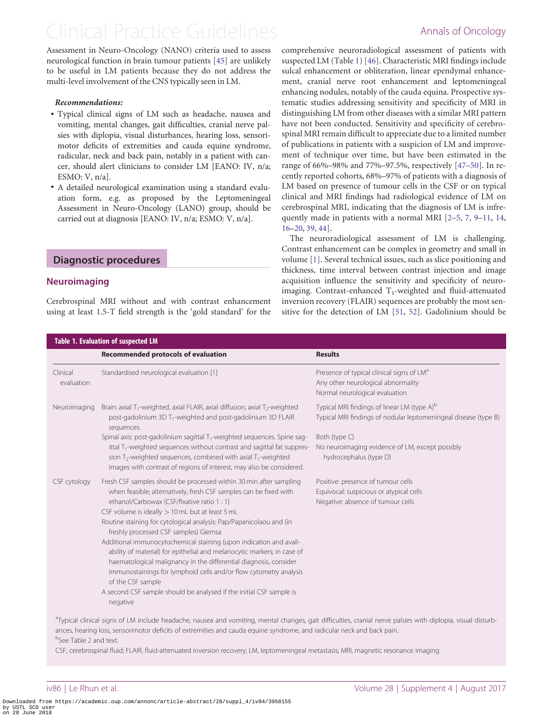<span id="page-2-0"></span>Assessment in Neuro-Oncology (NANO) criteria used to assess neurological function in brain tumour patients [\[45\]](#page-13-0) are unlikely to be useful in LM patients because they do not address the multi-level involvement of the CNS typically seen in LM.

#### Recommendations:

- Typical clinical signs of LM such as headache, nausea and vomiting, mental changes, gait difficulties, cranial nerve palsies with diplopia, visual disturbances, hearing loss, sensorimotor deficits of extremities and cauda equine syndrome, radicular, neck and back pain, notably in a patient with cancer, should alert clinicians to consider LM [EANO: IV, n/a; ESMO: V, n/a].
- A detailed neurological examination using a standard evaluation form, e.g. as proposed by the Leptomeningeal Assessment in Neuro-Oncology (LANO) group, should be carried out at diagnosis [EANO: IV, n/a; ESMO: V, n/a].

#### Diagnostic procedures

#### Neuroimaging

Cerebrospinal MRI without and with contrast enhancement using at least 1.5-T field strength is the 'gold standard' for the comprehensive neuroradiological assessment of patients with suspected LM (Table 1) [\[46\]](#page-13-0). Characteristic MRI findings include sulcal enhancement or obliteration, linear ependymal enhancement, cranial nerve root enhancement and leptomeningeal enhancing nodules, notably of the cauda equina. Prospective systematic studies addressing sensitivity and specificity of MRI in distinguishing LM from other diseases with a similar MRI pattern have not been conducted. Sensitivity and specificity of cerebrospinal MRI remain difficult to appreciate due to a limited number of publications in patients with a suspicion of LM and improvement of technique over time, but have been estimated in the range of 66%–98% and 77%–97.5%, respectively [[47–50\]](#page-13-0). In recently reported cohorts, 68%–97% of patients with a diagnosis of LM based on presence of tumour cells in the CSF or on typical clinical and MRI findings had radiological evidence of LM on cerebrospinal MRI, indicating that the diagnosis of LM is infrequently made in patients with a normal MRI [\[2](#page-12-0)–[5](#page-12-0), [7](#page-12-0), [9](#page-12-0)–[11,](#page-12-0) [14](#page-12-0), [16](#page-12-0)[–20](#page-13-0), [39](#page-13-0), [44\]](#page-13-0).

The neuroradiological assessment of LM is challenging. Contrast enhancement can be complex in geometry and small in volume [[1](#page-12-0)]. Several technical issues, such as slice positioning and thickness, time interval between contrast injection and image acquisition influence the sensitivity and specificity of neuroimaging. Contrast-enhanced  $T_1$ -weighted and fluid-attenuated inversion recovery (FLAIR) sequences are probably the most sensitive for the detection of LM [[51,](#page-13-0) [52\]](#page-13-0). Gadolinium should be

|                        | <b>Recommended protocols of evaluation</b>                                                                                                                                                                                                                                                                                                                                                                                                                                                                                                                                                                                                                                                                                                                   | <b>Results</b>                                                                                                                |
|------------------------|--------------------------------------------------------------------------------------------------------------------------------------------------------------------------------------------------------------------------------------------------------------------------------------------------------------------------------------------------------------------------------------------------------------------------------------------------------------------------------------------------------------------------------------------------------------------------------------------------------------------------------------------------------------------------------------------------------------------------------------------------------------|-------------------------------------------------------------------------------------------------------------------------------|
| Clinical<br>evaluation | Standardised neurological evaluation [1]                                                                                                                                                                                                                                                                                                                                                                                                                                                                                                                                                                                                                                                                                                                     | Presence of typical clinical signs of LM <sup>a</sup><br>Any other neurological abnormality<br>Normal neurological evaluation |
| Neuroimaging           | Brain: axial T <sub>1</sub> -weighted, axial FLAIR, axial diffusion, axial T <sub>2</sub> -weighted<br>post-gadolinium 3D T <sub>1</sub> -weighted and post-gadolinium 3D FLAIR<br>sequences.                                                                                                                                                                                                                                                                                                                                                                                                                                                                                                                                                                | Typical MRI findings of linear LM (type A) <sup>b</sup><br>Typical MRI findings of nodular leptomeningeal disease (type B)    |
|                        | Spinal axis: post-gadolinium sagittal T <sub>1</sub> -weighted sequences. Spine sag-<br>ittal $T_1$ -weighted sequences without contrast and sagittal fat suppres-<br>sion $T_2$ -weighted sequences, combined with axial $T_1$ -weighted<br>images with contrast of regions of interest, may also be considered.                                                                                                                                                                                                                                                                                                                                                                                                                                            | Both (type C)<br>No neuroimaging evidence of LM, except possibly<br>hydrocephalus (type D)                                    |
| CSF cytology           | Fresh CSF samples should be processed within 30 min after sampling<br>when feasible; alternatively, fresh CSF samples can be fixed with<br>ethanol/Carbowax (CSF/fixative ratio 1 : 1)<br>CSF volume is ideally > 10 mL but at least 5 mL<br>Routine staining for cytological analysis: Pap/Papanicolaou and (in<br>freshly processed CSF samples) Giemsa<br>Additional immunocytochemical staining (upon indication and avail-<br>ability of material) for epithelial and melanocytic markers; in case of<br>haematological malignancy in the differential diagnosis, consider<br>immunostainings for lymphoid cells and/or flow cytometry analysis<br>of the CSF sample<br>A second CSF sample should be analysed if the initial CSF sample is<br>negative | Positive: presence of tumour cells<br>Equivocal: suspicious or atypical cells<br>Negative: absence of tumour cells            |

ances, hearing loss, sensorimotor deficits of extremities and cauda equine syndrome, and radicular neck and back pain. <sup>b</sup>See Table [2](#page-4-0) and text.

CSF, cerebrospinal fluid; FLAIR, fluid-attenuated inversion recovery; LM, leptomeningeal metastasis; MRI, magnetic resonance imaging.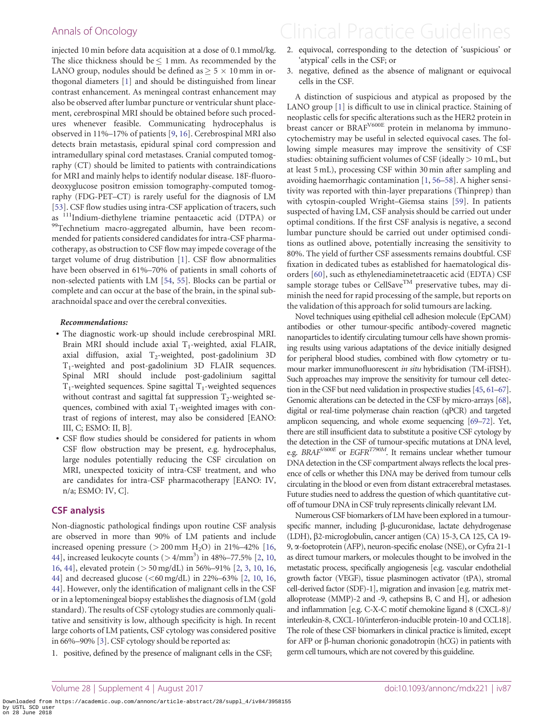injected 10 min before data acquisition at a dose of 0.1 mmol/kg. The slice thickness should be  $\leq$  1 mm. As recommended by the LANO group, nodules should be defined as  $\geq 5 \times 10$  mm in orthogonal diameters [[1](#page-12-0)] and should be distinguished from linear contrast enhancement. As meningeal contrast enhancement may also be observed after lumbar puncture or ventricular shunt placement, cerebrospinal MRI should be obtained before such procedures whenever feasible. Communicating hydrocephalus is observed in 11%–17% of patients [\[9](#page-12-0), [16\]](#page-12-0). Cerebrospinal MRI also detects brain metastasis, epidural spinal cord compression and intramedullary spinal cord metastases. Cranial computed tomography (CT) should be limited to patients with contraindications for MRI and mainly helps to identify nodular disease. 18F-fluorodeoxyglucose positron emission tomography-computed tomography (FDG-PET–CT) is rarely useful for the diagnosis of LM [\[53](#page-13-0)]. CSF flow studies using intra-CSF application of tracers, such as <sup>111</sup>Indium-diethylene triamine pentaacetic acid (DTPA) or <sup>99</sup>Technetium macro-aggregated albumin, have been recommended for patients considered candidates for intra-CSF pharmacotherapy, as obstruction to CSF flow may impede coverage of the target volume of drug distribution [\[1\]](#page-12-0). CSF flow abnormalities have been observed in 61%–70% of patients in small cohorts of non-selected patients with LM [[54,](#page-13-0) [55](#page-13-0)]. Blocks can be partial or complete and can occur at the base of the brain, in the spinal subarachnoidal space and over the cerebral convexities.

#### Recommendations:

- The diagnostic work-up should include cerebrospinal MRI. Brain MRI should include axial  $T_1$ -weighted, axial FLAIR, axial diffusion, axial  $T_2$ -weighted, post-gadolinium 3D T1-weighted and post-gadolinium 3D FLAIR sequences. Spinal MRI should include post-gadolinium sagittal  $T_1$ -weighted sequences. Spine sagittal  $T_1$ -weighted sequences without contrast and sagittal fat suppression  $T_2$ -weighted sequences, combined with axial  $T_1$ -weighted images with contrast of regions of interest, may also be considered [EANO: III, C; ESMO: II, B].
- CSF flow studies should be considered for patients in whom CSF flow obstruction may be present, e.g. hydrocephalus, large nodules potentially reducing the CSF circulation on MRI, unexpected toxicity of intra-CSF treatment, and who are candidates for intra-CSF pharmacotherapy [EANO: IV, n/a; ESMO: IV, C].

#### CSF analysis

Non-diagnostic pathological findings upon routine CSF analysis are observed in more than 90% of LM patients and include increased opening pressure  $(> 200 \text{ mm H}_2O)$  in 21%–42% [[16,](#page-12-0) [44\]](#page-13-0), increased leukocyte counts (> 4/mm3 ) in 48%–77.5% [[2,](#page-12-0) [10,](#page-12-0) [16,](#page-12-0) [44](#page-13-0)], elevated protein (> 50 mg/dL) in 56%–91% [\[2,](#page-12-0) [3](#page-12-0), [10,](#page-12-0) [16,](#page-12-0) [44\]](#page-13-0) and decreased glucose (<60 mg/dL) in 22%–63% [[2](#page-12-0), [10](#page-12-0), [16,](#page-12-0) [44\]](#page-13-0). However, only the identification of malignant cells in the CSF or in a leptomeningeal biopsy establishes the diagnosis of LM (gold standard). The results of CSF cytology studies are commonly qualitative and sensitivity is low, although specificity is high. In recent large cohorts of LM patients, CSF cytology was considered positive in 66%–90% [[3](#page-12-0)]. CSF cytology should be reported as:

1. positive, defined by the presence of malignant cells in the CSF;

### Annals of Oncology **Annals of Oncology Clinical Practice Guidelines**

- 2. equivocal, corresponding to the detection of 'suspicious' or 'atypical' cells in the CSF; or
- 3. negative, defined as the absence of malignant or equivocal cells in the CSF.

A distinction of suspicious and atypical as proposed by the LANO group [\[1\]](#page-12-0) is difficult to use in clinical practice. Staining of neoplastic cells for specific alterations such as the HER2 protein in breast cancer or BRAF<sup>V600E</sup> protein in melanoma by immunocytochemistry may be useful in selected equivocal cases. The following simple measures may improve the sensitivity of CSF studies: obtaining sufficient volumes of CSF (ideally > 10 mL, but at least 5 mL), processing CSF within 30 min after sampling and avoiding haemorrhagic contamination [[1](#page-12-0), [56–58](#page-13-0)]. A higher sensitivity was reported with thin-layer preparations (Thinprep) than with cytospin-coupled Wright–Giemsa stains [[59\]](#page-13-0). In patients suspected of having LM, CSF analysis should be carried out under optimal conditions. If the first CSF analysis is negative, a second lumbar puncture should be carried out under optimised conditions as outlined above, potentially increasing the sensitivity to 80%. The yield of further CSF assessments remains doubtful. CSF fixation in dedicated tubes as established for haematological disorders [[60\]](#page-13-0), such as ethylenediaminetetraacetic acid (EDTA) CSF sample storage tubes or CellSave<sup>TM</sup> preservative tubes, may diminish the need for rapid processing of the sample, but reports on the validation of this approach for solid tumours are lacking.

Novel techniques using epithelial cell adhesion molecule (EpCAM) antibodies or other tumour-specific antibody-covered magnetic nanoparticles to identify circulating tumour cells have shown promising results using various adaptations of the device initially designed for peripheral blood studies, combined with flow cytometry or tumour marker immunofluorescent in situ hybridisation (TM-iFISH). Such approaches may improve the sensitivity for tumour cell detection in the CSF but need validation in prospective studies [\[45](#page-13-0), [61](#page-13-0)[–67\]](#page-14-0). Genomic alterations can be detected in the CSF by micro-arrays [\[68\]](#page-14-0), digital or real-time polymerase chain reaction (qPCR) and targeted amplicon sequencing, and whole exome sequencing [\[69–72\]](#page-14-0). Yet, there are still insufficient data to substitute a positive CSF cytology by the detection in the CSF of tumour-specific mutations at DNA level, e.g.  $BRAF^{V600E}$  or  $EGFR^{T790M}$ . It remains unclear whether tumour DNA detection in the CSF compartment always reflects the local presence of cells or whether this DNA may be derived from tumour cells circulating in the blood or even from distant extracerebral metastases. Future studies need to address the question of which quantitative cutoff of tumour DNA in CSF truly represents clinically relevant LM.

Numerous CSF biomarkers of LM have been explored in a tumourspecific manner, including  $\beta$ -glucuronidase, lactate dehydrogenase (LDH), b2-microglobulin, cancer antigen (CA) 15-3, CA 125, CA 19- 9, a-foetoprotein (AFP), neuron-specific enolase (NSE), or Cyfra 21-1 as direct tumour markers, or molecules thought to be involved in the metastatic process, specifically angiogenesis [e.g. vascular endothelial growth factor (VEGF), tissue plasminogen activator (tPA), stromal cell-derived factor (SDF)-1], migration and invasion [e.g. matrix metalloprotease (MMP)-2 and -9, cathepsins B, C and H], or adhesion and inflammation [e.g. C-X-C motif chemokine ligand 8 (CXCL-8)/ interleukin-8, CXCL-10/interferon-inducible protein-10 and CCL18]. The role of these CSF biomarkers in clinical practice is limited, except for AFP or  $\beta$ -human chorionic gonadotropin (hCG) in patients with germ cell tumours, which are not covered by this guideline.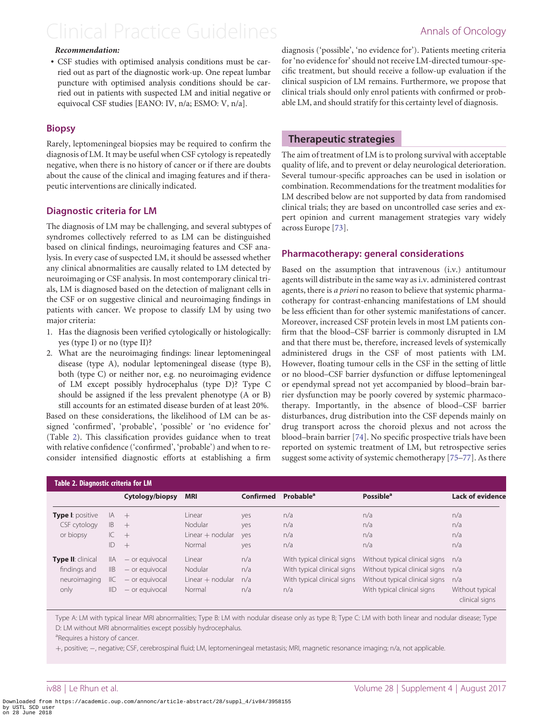#### <span id="page-4-0"></span>Recommendation:

• CSF studies with optimised analysis conditions must be carried out as part of the diagnostic work-up. One repeat lumbar puncture with optimised analysis conditions should be carried out in patients with suspected LM and initial negative or equivocal CSF studies [EANO: IV, n/a; ESMO: V, n/a].

### Biopsy

Rarely, leptomeningeal biopsies may be required to confirm the diagnosis of LM. It may be useful when CSF cytology is repeatedly negative, when there is no history of cancer or if there are doubts about the cause of the clinical and imaging features and if therapeutic interventions are clinically indicated.

### Diagnostic criteria for LM

The diagnosis of LM may be challenging, and several subtypes of syndromes collectively referred to as LM can be distinguished based on clinical findings, neuroimaging features and CSF analysis. In every case of suspected LM, it should be assessed whether any clinical abnormalities are causally related to LM detected by neuroimaging or CSF analysis. In most contemporary clinical trials, LM is diagnosed based on the detection of malignant cells in the CSF or on suggestive clinical and neuroimaging findings in patients with cancer. We propose to classify LM by using two major criteria:

- 1. Has the diagnosis been verified cytologically or histologically: yes (type I) or no (type II)?
- 2. What are the neuroimaging findings: linear leptomeningeal disease (type A), nodular leptomeningeal disease (type B), both (type C) or neither nor, e.g. no neuroimaging evidence of LM except possibly hydrocephalus (type D)? Type C should be assigned if the less prevalent phenotype (A or B) still accounts for an estimated disease burden of at least 20%.

Based on these considerations, the likelihood of LM can be assigned 'confirmed', 'probable', 'possible' or 'no evidence for' (Table 2). This classification provides guidance when to treat with relative confidence ('confirmed', 'probable') and when to reconsider intensified diagnostic efforts at establishing a firm

diagnosis ('possible', 'no evidence for'). Patients meeting criteria for 'no evidence for' should not receive LM-directed tumour-specific treatment, but should receive a follow-up evaluation if the clinical suspicion of LM remains. Furthermore, we propose that clinical trials should only enrol patients with confirmed or probable LM, and should stratify for this certainty level of diagnosis.

### Therapeutic strategies

The aim of treatment of LM is to prolong survival with acceptable quality of life, and to prevent or delay neurological deterioration. Several tumour-specific approaches can be used in isolation or combination. Recommendations for the treatment modalities for LM described below are not supported by data from randomised clinical trials; they are based on uncontrolled case series and expert opinion and current management strategies vary widely across Europe [[73\]](#page-14-0).

### Pharmacotherapy: general considerations

Based on the assumption that intravenous (i.v.) antitumour agents will distribute in the same way as i.v. administered contrast agents, there is a priori no reason to believe that systemic pharmacotherapy for contrast-enhancing manifestations of LM should be less efficient than for other systemic manifestations of cancer. Moreover, increased CSF protein levels in most LM patients confirm that the blood–CSF barrier is commonly disrupted in LM and that there must be, therefore, increased levels of systemically administered drugs in the CSF of most patients with LM. However, floating tumour cells in the CSF in the setting of little or no blood–CSF barrier dysfunction or diffuse leptomeningeal or ependymal spread not yet accompanied by blood–brain barrier dysfunction may be poorly covered by systemic pharmacotherapy. Importantly, in the absence of blood–CSF barrier disturbances, drug distribution into the CSF depends mainly on drug transport across the choroid plexus and not across the blood–brain barrier [\[74](#page-14-0)]. No specific prospective trials have been reported on systemic treatment of LM, but retrospective series suggest some activity of systemic chemotherapy [\[75–77](#page-14-0)]. As there

| Table 2. Diagnostic criteria for LM |            |                  |                    |           |                              |                                    |                                   |
|-------------------------------------|------------|------------------|--------------------|-----------|------------------------------|------------------------------------|-----------------------------------|
|                                     |            | Cytology/biopsy  | <b>MRI</b>         | Confirmed | <b>Probable</b> <sup>a</sup> | <b>Possible</b> <sup>a</sup>       | <b>Lack of evidence</b>           |
| Type I: positive                    | IA         | $+$              | Linear             | yes       | n/a                          | n/a                                | n/a                               |
| CSF cytology                        | IB.        | $+$              | Nodular            | yes       | n/a                          | n/a                                | n/a                               |
| or biopsy                           | IC         | $+$              | Linear $+$ nodular | yes       | n/a                          | n/a                                | n/a                               |
|                                     | ID         | $+$              | Normal             | yes       | n/a                          | n/a                                | n/a                               |
| Type II: clinical                   | 11A        | $-$ or equivocal | Linear             | n/a       | With typical clinical signs  | Without typical clinical signs n/a |                                   |
| findings and                        | IIB        | $-$ or equivocal | Nodular            | n/a       | With typical clinical signs  | Without typical clinical signs     | n/a                               |
| neuroimaging                        | <b>IIC</b> | $-$ or equivocal | Linear $+$ nodular | n/a       | With typical clinical signs  | Without typical clinical signs     | n/a                               |
| only                                | <b>IID</b> | $-$ or equivocal | Normal             | n/a       | n/a                          | With typical clinical signs        | Without typical<br>clinical signs |

Type A: LM with typical linear MRI abnormalities; Type B: LM with nodular disease only as type B; Type C: LM with both linear and nodular disease; Type D: LM without MRI abnormalities except possibly hydrocephalus.

<sup>a</sup>Requires a history of cancer.

þ, positive; , negative; CSF, cerebrospinal fluid; LM, leptomeningeal metastasis; MRI, magnetic resonance imaging; n/a, not applicable.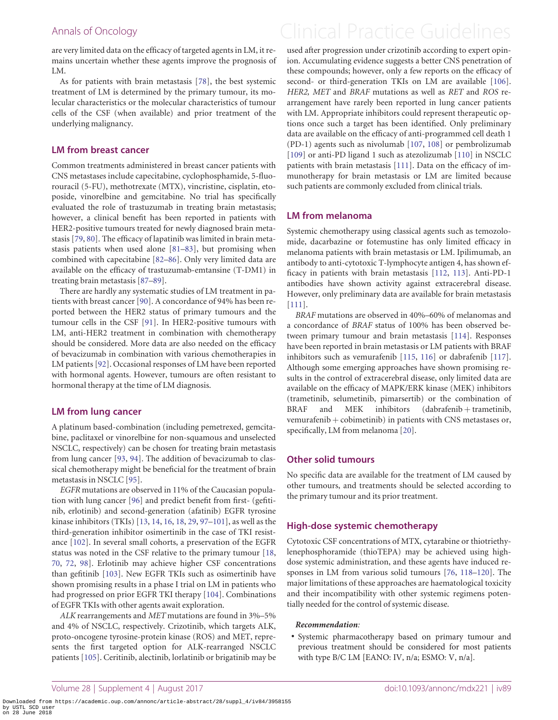are very limited data on the efficacy of targeted agents in LM, it remains uncertain whether these agents improve the prognosis of LM.

As for patients with brain metastasis [[78\]](#page-14-0), the best systemic treatment of LM is determined by the primary tumour, its molecular characteristics or the molecular characteristics of tumour cells of the CSF (when available) and prior treatment of the underlying malignancy.

#### LM from breast cancer

Common treatments administered in breast cancer patients with CNS metastases include capecitabine, cyclophosphamide, 5-fluorouracil (5-FU), methotrexate (MTX), vincristine, cisplatin, etoposide, vinorelbine and gemcitabine. No trial has specifically evaluated the role of trastuzumab in treating brain metastasis; however, a clinical benefit has been reported in patients with HER2-positive tumours treated for newly diagnosed brain metastasis [[79](#page-14-0), [80](#page-14-0)]. The efficacy of lapatinib was limited in brain metastasis patients when used alone [\[81–83](#page-14-0)], but promising when combined with capecitabine [[82–86\]](#page-14-0). Only very limited data are available on the efficacy of trastuzumab-emtansine (T-DM1) in treating brain metastasis [\[87–89](#page-14-0)].

There are hardly any systematic studies of LM treatment in patients with breast cancer [\[90\]](#page-14-0). A concordance of 94% has been reported between the HER2 status of primary tumours and the tumour cells in the CSF [\[91](#page-14-0)]. In HER2-positive tumours with LM, anti-HER2 treatment in combination with chemotherapy should be considered. More data are also needed on the efficacy of bevacizumab in combination with various chemotherapies in LM patients [[92\]](#page-14-0). Occasional responses of LM have been reported with hormonal agents. However, tumours are often resistant to hormonal therapy at the time of LM diagnosis.

#### LM from lung cancer

A platinum based-combination (including pemetrexed, gemcitabine, paclitaxel or vinorelbine for non-squamous and unselected NSCLC, respectively) can be chosen for treating brain metastasis from lung cancer [[93,](#page-14-0) [94\]](#page-14-0). The addition of bevacizumab to classical chemotherapy might be beneficial for the treatment of brain metastasis in NSCLC [\[95](#page-14-0)].

EGFR mutations are observed in 11% of the Caucasian population with lung cancer [\[96\]](#page-14-0) and predict benefit from first- (gefitinib, erlotinib) and second-generation (afatinib) EGFR tyrosine kinase inhibitors (TKIs) [\[13](#page-12-0), [14,](#page-12-0) [16,](#page-12-0) [18](#page-12-0), [29](#page-13-0), [97–101](#page-14-0)], as well as the third-generation inhibitor osimertinib in the case of TKI resistance [\[102\]](#page-14-0). In several small cohorts, a preservation of the EGFR status was noted in the CSF relative to the primary tumour [[18,](#page-12-0) [70,](#page-14-0) [72](#page-14-0), [98\]](#page-14-0). Erlotinib may achieve higher CSF concentrations than gefitinib [[103](#page-14-0)]. New EGFR TKIs such as osimertinib have shown promising results in a phase I trial on LM in patients who had progressed on prior EGFR TKI therapy [[104](#page-14-0)]. Combinations of EGFR TKIs with other agents await exploration.

ALK rearrangements and MET mutations are found in 3%–5% and 4% of NSCLC, respectively. Crizotinib, which targets ALK, proto-oncogene tyrosine-protein kinase (ROS) and MET, represents the first targeted option for ALK-rearranged NSCLC patients [\[105](#page-15-0)]. Ceritinib, alectinib, lorlatinib or brigatinib may be

## Annals of Oncology **Annals of Oncology Clinical Practice Guidelines**

used after progression under crizotinib according to expert opinion. Accumulating evidence suggests a better CNS penetration of these compounds; however, only a few reports on the efficacy of second- or third-generation TKIs on LM are available [[106](#page-15-0)]. HER2, MET and BRAF mutations as well as RET and ROS rearrangement have rarely been reported in lung cancer patients with LM. Appropriate inhibitors could represent therapeutic options once such a target has been identified. Only preliminary data are available on the efficacy of anti-programmed cell death 1 (PD-1) agents such as nivolumab [\[107](#page-15-0), [108\]](#page-15-0) or pembrolizumab [[109](#page-15-0)] or anti-PD ligand 1 such as atezolizumab [\[110\]](#page-15-0) in NSCLC patients with brain metastasis [\[111](#page-15-0)]. Data on the efficacy of immunotherapy for brain metastasis or LM are limited because such patients are commonly excluded from clinical trials.

#### LM from melanoma

Systemic chemotherapy using classical agents such as temozolomide, dacarbazine or fotemustine has only limited efficacy in melanoma patients with brain metastasis or LM. Ipilimumab, an antibody to anti-cytotoxic T-lymphocyte antigen 4, has shown efficacy in patients with brain metastasis [\[112](#page-15-0), [113\]](#page-15-0). Anti-PD-1 antibodies have shown activity against extracerebral disease. However, only preliminary data are available for brain metastasis [[111](#page-15-0)].

BRAF mutations are observed in 40%–60% of melanomas and a concordance of BRAF status of 100% has been observed between primary tumour and brain metastasis [[114](#page-15-0)]. Responses have been reported in brain metastasis or LM patients with BRAF inhibitors such as vemurafenib [\[115](#page-15-0), [116](#page-15-0)] or dabrafenib [[117](#page-15-0)]. Although some emerging approaches have shown promising results in the control of extracerebral disease, only limited data are available on the efficacy of MAPK/ERK kinase (MEK) inhibitors (trametinib, selumetinib, pimarsertib) or the combination of  $BRAF$  and  $MEK$  inhibitors (dabrafenib + trametinib, vemurafenib  $+$  cobimetinib) in patients with CNS metastases or, specifically, LM from melanoma [\[20\]](#page-13-0).

#### Other solid tumours

No specific data are available for the treatment of LM caused by other tumours, and treatments should be selected according to the primary tumour and its prior treatment.

#### High-dose systemic chemotherapy

Cytotoxic CSF concentrations of MTX, cytarabine or thiotriethylenephosphoramide (thioTEPA) may be achieved using highdose systemic administration, and these agents have induced responses in LM from various solid tumours [[76,](#page-14-0) [118–120](#page-15-0)]. The major limitations of these approaches are haematological toxicity and their incompatibility with other systemic regimens potentially needed for the control of systemic disease.

#### Recommendation:

• Systemic pharmacotherapy based on primary tumour and previous treatment should be considered for most patients with type B/C LM [EANO: IV, n/a; ESMO: V, n/a].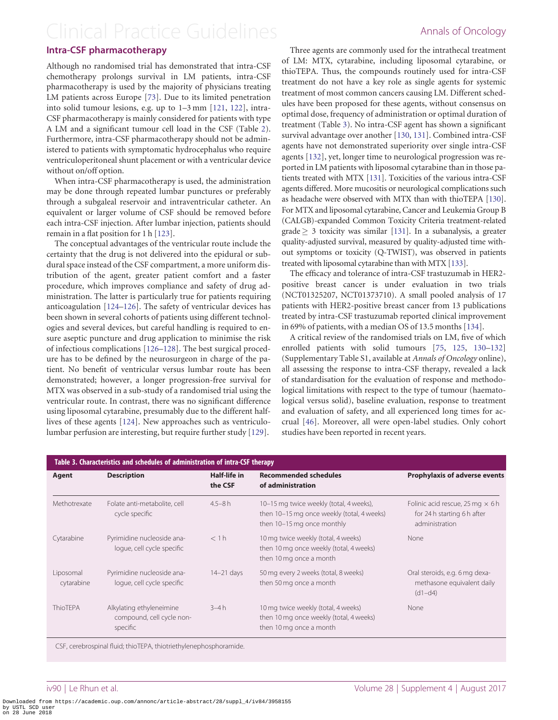### Intra-CSF pharmacotherapy

Although no randomised trial has demonstrated that intra-CSF chemotherapy prolongs survival in LM patients, intra-CSF pharmacotherapy is used by the majority of physicians treating LM patients across Europe [\[73](#page-14-0)]. Due to its limited penetration into solid tumour lesions, e.g. up to 1–3 mm [[121](#page-15-0), [122](#page-15-0)], intra-CSF pharmacotherapy is mainly considered for patients with type A LM and a significant tumour cell load in the CSF (Table [2](#page-4-0)). Furthermore, intra-CSF pharmacotherapy should not be administered to patients with symptomatic hydrocephalus who require ventriculoperitoneal shunt placement or with a ventricular device without on/off option.

When intra-CSF pharmacotherapy is used, the administration may be done through repeated lumbar punctures or preferably through a subgaleal reservoir and intraventricular catheter. An equivalent or larger volume of CSF should be removed before each intra-CSF injection. After lumbar injection, patients should remain in a flat position for 1 h [[123](#page-15-0)].

The conceptual advantages of the ventricular route include the certainty that the drug is not delivered into the epidural or subdural space instead of the CSF compartment, a more uniform distribution of the agent, greater patient comfort and a faster procedure, which improves compliance and safety of drug administration. The latter is particularly true for patients requiring anticoagulation [\[124–126](#page-15-0)]. The safety of ventricular devices has been shown in several cohorts of patients using different technologies and several devices, but careful handling is required to ensure aseptic puncture and drug application to minimise the risk of infectious complications [[126–128\]](#page-15-0). The best surgical procedure has to be defined by the neurosurgeon in charge of the patient. No benefit of ventricular versus lumbar route has been demonstrated; however, a longer progression-free survival for MTX was observed in a sub-study of a randomised trial using the ventricular route. In contrast, there was no significant difference using liposomal cytarabine, presumably due to the different halflives of these agents [\[124](#page-15-0)]. New approaches such as ventriculolumbar perfusion are interesting, but require further study [[129\]](#page-15-0).

Three agents are commonly used for the intrathecal treatment of LM: MTX, cytarabine, including liposomal cytarabine, or thioTEPA. Thus, the compounds routinely used for intra-CSF treatment do not have a key role as single agents for systemic treatment of most common cancers causing LM. Different schedules have been proposed for these agents, without consensus on optimal dose, frequency of administration or optimal duration of treatment (Table 3). No intra-CSF agent has shown a significant survival advantage over another [[130](#page-15-0), [131](#page-15-0)]. Combined intra-CSF agents have not demonstrated superiority over single intra-CSF agents [[132\]](#page-15-0), yet, longer time to neurological progression was reported in LM patients with liposomal cytarabine than in those patients treated with MTX [\[131\]](#page-15-0). Toxicities of the various intra-CSF agents differed. More mucositis or neurological complications such as headache were observed with MTX than with thioTEPA [[130\]](#page-15-0). For MTX and liposomal cytarabine, Cancer and Leukemia Group B (CALGB)-expanded Common Toxicity Criteria treatment-related grade  $\geq$  3 toxicity was similar [\[131\]](#page-15-0). In a subanalysis, a greater quality-adjusted survival, measured by quality-adjusted time without symptoms or toxicity (Q-TWIST), was observed in patients treated with liposomal cytarabine than with MTX [\[133](#page-15-0)].

The efficacy and tolerance of intra-CSF trastuzumab in HER2 positive breast cancer is under evaluation in two trials (NCT01325207, NCT01373710). A small pooled analysis of 17 patients with HER2-positive breast cancer from 13 publications treated by intra-CSF trastuzumab reported clinical improvement in 69% of patients, with a median OS of 13.5 months [\[134\]](#page-15-0).

A critical review of the randomised trials on LM, five of which enrolled patients with solid tumours [\[75](#page-14-0), [125,](#page-15-0) [130–132](#page-15-0)] (Supplementary Table S1, available at Annals of Oncology online), all assessing the response to intra-CSF therapy, revealed a lack of standardisation for the evaluation of response and methodological limitations with respect to the type of tumour (haematological versus solid), baseline evaluation, response to treatment and evaluation of safety, and all experienced long times for accrual [[46\]](#page-13-0). Moreover, all were open-label studies. Only cohort studies have been reported in recent years.

| Table 3. Characteristics and schedules of administration of intra-CSF therapy |                         |                                                                                                                     |                                                                                          |  |  |
|-------------------------------------------------------------------------------|-------------------------|---------------------------------------------------------------------------------------------------------------------|------------------------------------------------------------------------------------------|--|--|
| <b>Description</b>                                                            | Half-life in<br>the CSF | <b>Recommended schedules</b><br>of administration                                                                   | <b>Prophylaxis of adverse events</b>                                                     |  |  |
| Folate anti-metabolite, cell<br>cycle specific                                | $4.5 - 8h$              | 10-15 mg twice weekly (total, 4 weeks),<br>then 10-15 mg once weekly (total, 4 weeks)<br>then 10-15 mg once monthly | Folinic acid rescue, 25 mg $\times$ 6 h<br>for 24 h starting 6 h after<br>administration |  |  |
| Pyrimidine nucleoside ana-<br>loque, cell cycle specific                      | $<$ 1 h                 | 10 mg twice weekly (total, 4 weeks)<br>then 10 mg once weekly (total, 4 weeks)<br>then 10 mg once a month           | None                                                                                     |  |  |
| Pyrimidine nucleoside ana-<br>loque, cell cycle specific                      | $14-21$ days            | 50 mg every 2 weeks (total, 8 weeks)<br>then 50 mg once a month                                                     | Oral steroids, e.g. 6 mg dexa-<br>methasone equivalent daily<br>$(d1-d4)$                |  |  |
| Alkylating ethyleneimine<br>compound, cell cycle non-<br>specific             | $3-4h$                  | 10 mg twice weekly (total, 4 weeks)<br>then 10 mg once weekly (total, 4 weeks)<br>then 10 mg once a month           | None                                                                                     |  |  |
|                                                                               |                         |                                                                                                                     |                                                                                          |  |  |

CSF, cerebrospinal fluid; thioTEPA, thiotriethylenephosphoramide.

Downloaded from https://academic.oup.com/annonc/article-abstract/28/suppl\_4/iv84/3958155 by USTL SCD user on 28 June 2018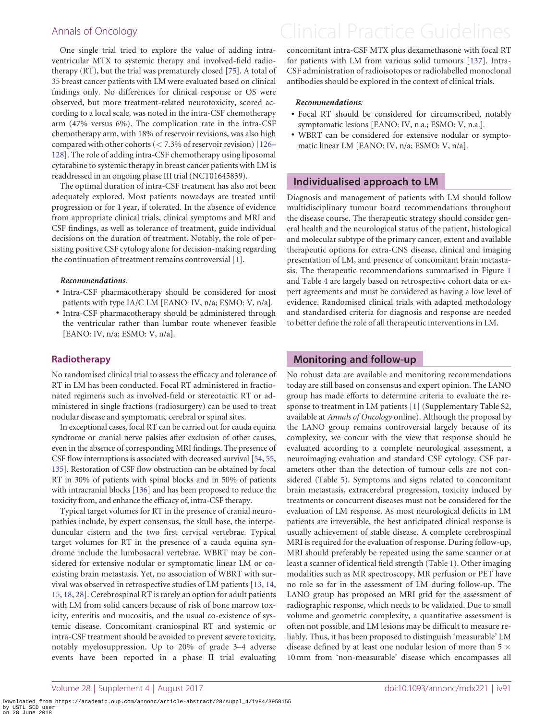One single trial tried to explore the value of adding intraventricular MTX to systemic therapy and involved-field radiotherapy (RT), but the trial was prematurely closed [[75\]](#page-14-0). A total of 35 breast cancer patients with LM were evaluated based on clinical findings only. No differences for clinical response or OS were observed, but more treatment-related neurotoxicity, scored according to a local scale, was noted in the intra-CSF chemotherapy arm (47% versus 6%). The complication rate in the intra-CSF chemotherapy arm, with 18% of reservoir revisions, was also high compared with other cohorts (< 7.3% of reservoir revision) [[126](#page-15-0)– [128](#page-15-0)]. The role of adding intra-CSF chemotherapy using liposomal cytarabine to systemic therapy in breast cancer patients with LM is readdressed in an ongoing phase III trial (NCT01645839).

The optimal duration of intra-CSF treatment has also not been adequately explored. Most patients nowadays are treated until progression or for 1 year, if tolerated. In the absence of evidence from appropriate clinical trials, clinical symptoms and MRI and CSF findings, as well as tolerance of treatment, guide individual decisions on the duration of treatment. Notably, the role of persisting positive CSF cytology alone for decision-making regarding the continuation of treatment remains controversial [\[1\]](#page-12-0).

#### Recommendations:

- Intra-CSF pharmacotherapy should be considered for most patients with type IA/C LM [EANO: IV, n/a; ESMO: V, n/a].
- Intra-CSF pharmacotherapy should be administered through the ventricular rather than lumbar route whenever feasible [EANO: IV, n/a; ESMO: V, n/a].

#### Radiotherapy

No randomised clinical trial to assess the efficacy and tolerance of RT in LM has been conducted. Focal RT administered in fractionated regimens such as involved-field or stereotactic RT or administered in single fractions (radiosurgery) can be used to treat nodular disease and symptomatic cerebral or spinal sites.

In exceptional cases, focal RT can be carried out for cauda equina syndrome or cranial nerve palsies after exclusion of other causes, even in the absence of corresponding MRI findings. The presence of CSF flow interruptions is associated with decreased survival [\[54,](#page-13-0) [55,](#page-13-0) [135\]](#page-15-0). Restoration of CSF flow obstruction can be obtained by focal RT in 30% of patients with spinal blocks and in 50% of patients with intracranial blocks [[136\]](#page-15-0) and has been proposed to reduce the toxicity from, and enhance the efficacy of, intra-CSF therapy.

Typical target volumes for RT in the presence of cranial neuropathies include, by expert consensus, the skull base, the interpeduncular cistern and the two first cervical vertebrae. Typical target volumes for RT in the presence of a cauda equina syndrome include the lumbosacral vertebrae. WBRT may be considered for extensive nodular or symptomatic linear LM or coexisting brain metastasis. Yet, no association of WBRT with survival was observed in retrospective studies of LM patients [\[13](#page-12-0), [14,](#page-12-0) [15,](#page-12-0) [18,](#page-12-0) [28](#page-13-0)]. Cerebrospinal RT is rarely an option for adult patients with LM from solid cancers because of risk of bone marrow toxicity, enteritis and mucositis, and the usual co-existence of systemic disease. Concomitant craniospinal RT and systemic or intra-CSF treatment should be avoided to prevent severe toxicity, notably myelosuppression. Up to 20% of grade 3–4 adverse events have been reported in a phase II trial evaluating

### Annals of Oncology **Annals of Oncology** Clinical Practice Guidelines

concomitant intra-CSF MTX plus dexamethasone with focal RT for patients with LM from various solid tumours [[137\]](#page-15-0). Intra-CSF administration of radioisotopes or radiolabelled monoclonal antibodies should be explored in the context of clinical trials.

#### Recommendations:

- Focal RT should be considered for circumscribed, notably symptomatic lesions [EANO: IV, n.a.; ESMO: V, n.a.].
- WBRT can be considered for extensive nodular or symptomatic linear LM [EANO: IV, n/a; ESMO: V, n/a].

#### Individualised approach to LM

Diagnosis and management of patients with LM should follow multidisciplinary tumour board recommendations throughout the disease course. The therapeutic strategy should consider general health and the neurological status of the patient, histological and molecular subtype of the primary cancer, extent and available therapeutic options for extra-CNS disease, clinical and imaging presentation of LM, and presence of concomitant brain metastasis. The therapeutic recommendations summarised in Figure [1](#page-8-0) and Table [4](#page-9-0) are largely based on retrospective cohort data or expert agreements and must be considered as having a low level of evidence. Randomised clinical trials with adapted methodology and standardised criteria for diagnosis and response are needed to better define the role of all therapeutic interventions in LM.

#### Monitoring and follow-up

No robust data are available and monitoring recommendations today are still based on consensus and expert opinion. The LANO group has made efforts to determine criteria to evaluate the response to treatment in LM patients [\[1\]](#page-12-0) (Supplementary Table S2, available at Annals of Oncology online). Although the proposal by the LANO group remains controversial largely because of its complexity, we concur with the view that response should be evaluated according to a complete neurological assessment, a neuroimaging evaluation and standard CSF cytology. CSF parameters other than the detection of tumour cells are not considered (Table [5](#page-10-0)). Symptoms and signs related to concomitant brain metastasis, extracerebral progression, toxicity induced by treatments or concurrent diseases must not be considered for the evaluation of LM response. As most neurological deficits in LM patients are irreversible, the best anticipated clinical response is usually achievement of stable disease. A complete cerebrospinal MRI is required for the evaluation of response. During follow-up, MRI should preferably be repeated using the same scanner or at least a scanner of identical field strength (Table [1\)](#page-2-0). Other imaging modalities such as MR spectroscopy, MR perfusion or PET have no role so far in the assessment of LM during follow-up. The LANO group has proposed an MRI grid for the assessment of radiographic response, which needs to be validated. Due to small volume and geometric complexity, a quantitative assessment is often not possible, and LM lesions may be difficult to measure reliably. Thus, it has been proposed to distinguish 'measurable' LM disease defined by at least one nodular lesion of more than  $5 \times$ 10 mm from 'non-measurable' disease which encompasses all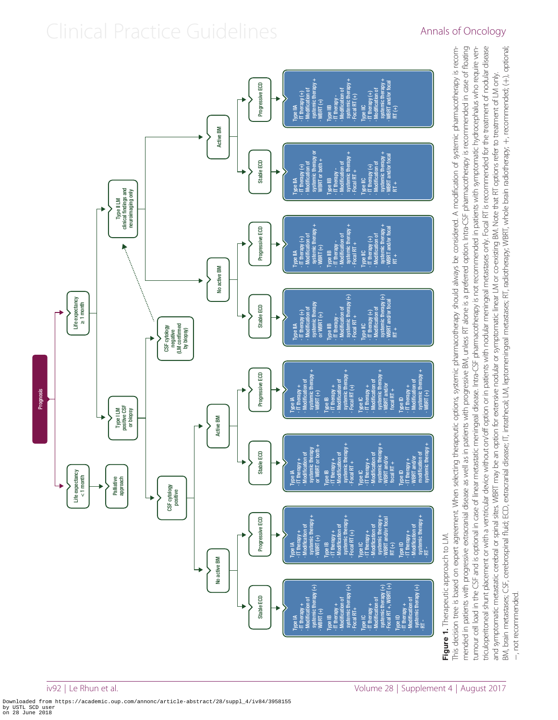

by USTL SCD user on 28 June 2018

Downloaded from https://academic.oup.com/annonc/article-abstract/28/suppl\_4/iv84/3958155

# <span id="page-8-0"></span>Clinical Practice Guidelines **Annals of Oncology**

mended in patients with progressive extracranial disease as well as in patients with progressive BM, unless RT alone is a preferred option. Intra-CSF pharmacotherapy is recommended in case of floating BM, brain metastases; CSF, cerebrospinal fluid; ECD, extracranial disease; IT, intrathecal; LM, leptomeningeal metastases; RT, radiotherapy; WBRT, whole brain radiotherapy; +, recommended; (+), optional; This decision tree is based on expert agreement. When selecting therapeutic options, systemic pharmacotherapy should always be considered. A modification of systemic pharmacotherapy is recom-This decision tree is based on expert agreement. When selecting therapeutic options, systemic pharmacotherapy should always be considered. A modification of systemic pharmacotherapy is recommended in patients with progressive extracranial disease as well as in patients with progressive BM, unless RT alone is a preferred option. Intra-CSF pharmacotherapy is recommended in case of floating tumour cell load in the CSF and is optional in case of linear metastatic meningeal disease. Intra-CSF pharmacotherapy is not recommended in patients with symptomatic hydrocephalus who require ventumour cell load in the CSF and is optional in case of linear metastatic meningeal disease. Intra-CSF pharmacotherapy is not recommended in patients with symptomatic hydrocephalus who require ventriculoperitoneal shunt placement or with a ventricular device without on/off option or in patients with nodular meningeal metastases only. Focal RT is recommended for the treatment of nodular disease triculoperitoneal shunt placement or with a ventricular device without on/off option or in patients with nodular meningeal metastases only. Focal RT is recommended for the treatment of nodular disease þ), optional; and symptomatic metastatic cerebral or spinal sites. WBRT may be an option for extensive nodular or symptomatic linear LM or co-existing BM. Note that RT options refer to treatment of LM only. and symptomatic metastatic cerebral or spinal sites. WBRT may be an option for extensive nodular or symptomatic linear LM or co-existing BM. Note that RT options refer to treatment of LM only. þ, recommended; ( BM, brain metastases; CSF, cerebrospinal fluid; ECD, extracranial disease; IT, intrathecal; LM, leptomeningeal metastases; RT, radiotherapy; WBRT, whole brain radiotherapy; -, not recommended. , not recommended.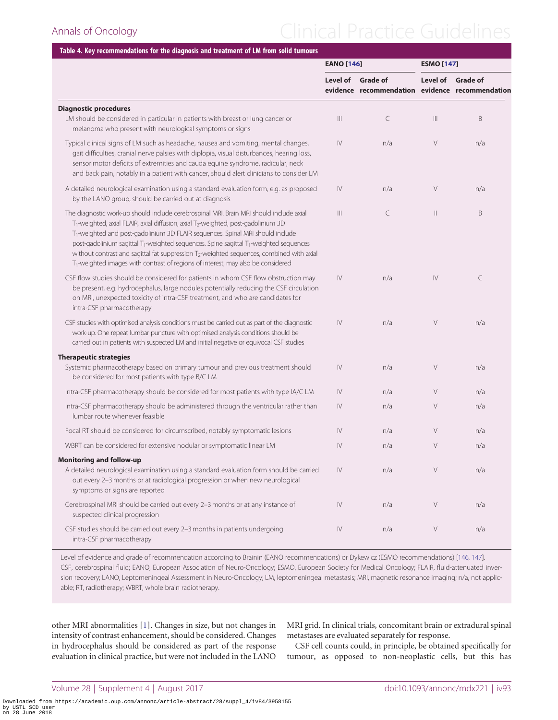## <span id="page-9-0"></span>Annals of Oncology **Clinical Practice Guidelines**

| Table 4. Key recommendations for the diagnosis and treatment of LM from solid tumours                                                                                                                                                                                                                                                                                                                                                                                                                                                                                                                                 | <b>EANO [146]</b> |                                                                      | <b>ESMO [147]</b>     |                   |
|-----------------------------------------------------------------------------------------------------------------------------------------------------------------------------------------------------------------------------------------------------------------------------------------------------------------------------------------------------------------------------------------------------------------------------------------------------------------------------------------------------------------------------------------------------------------------------------------------------------------------|-------------------|----------------------------------------------------------------------|-----------------------|-------------------|
|                                                                                                                                                                                                                                                                                                                                                                                                                                                                                                                                                                                                                       |                   | Level of Grade of<br>evidence recommendation evidence recommendation |                       | Level of Grade of |
| <b>Diagnostic procedures</b><br>LM should be considered in particular in patients with breast or lung cancer or<br>melanoma who present with neurological symptoms or signs                                                                                                                                                                                                                                                                                                                                                                                                                                           | Ш                 | C                                                                    | $\parallel \parallel$ | B                 |
| Typical clinical signs of LM such as headache, nausea and vomiting, mental changes,<br>gait difficulties, cranial nerve palsies with diplopia, visual disturbances, hearing loss,<br>sensorimotor deficits of extremities and cauda equine syndrome, radicular, neck<br>and back pain, notably in a patient with cancer, should alert clinicians to consider LM                                                                                                                                                                                                                                                       | IV                | n/a                                                                  | $\vee$                | n/a               |
| A detailed neurological examination using a standard evaluation form, e.g. as proposed<br>by the LANO group, should be carried out at diagnosis                                                                                                                                                                                                                                                                                                                                                                                                                                                                       | IV                | n/a                                                                  | $\vee$                | n/a               |
| The diagnostic work-up should include cerebrospinal MRI. Brain MRI should include axial<br>T <sub>1</sub> -weighted, axial FLAIR, axial diffusion, axial T <sub>2</sub> -weighted, post-gadolinium 3D<br>T <sub>1</sub> -weighted and post-gadolinium 3D FLAIR sequences. Spinal MRI should include<br>post-gadolinium sagittal T <sub>1</sub> -weighted sequences. Spine sagittal T <sub>1</sub> -weighted sequences<br>without contrast and sagittal fat suppression T <sub>2</sub> -weighted sequences, combined with axial<br>$T_1$ -weighted images with contrast of regions of interest, may also be considered | $\mathbb{H}$      | C                                                                    | $\parallel$           | B                 |
| CSF flow studies should be considered for patients in whom CSF flow obstruction may<br>be present, e.g. hydrocephalus, large nodules potentially reducing the CSF circulation<br>on MRI, unexpected toxicity of intra-CSF treatment, and who are candidates for<br>intra-CSF pharmacotherapy                                                                                                                                                                                                                                                                                                                          | IV                | n/a                                                                  | $\mathsf{IV}$         | C                 |
| CSF studies with optimised analysis conditions must be carried out as part of the diagnostic<br>work-up. One repeat lumbar puncture with optimised analysis conditions should be<br>carried out in patients with suspected LM and initial negative or equivocal CSF studies                                                                                                                                                                                                                                                                                                                                           | $\mathsf{IV}$     | n/a                                                                  | $\vee$                | n/a               |
| <b>Therapeutic strategies</b>                                                                                                                                                                                                                                                                                                                                                                                                                                                                                                                                                                                         |                   |                                                                      |                       |                   |
| Systemic pharmacotherapy based on primary tumour and previous treatment should<br>be considered for most patients with type B/C LM                                                                                                                                                                                                                                                                                                                                                                                                                                                                                    | $\mathsf{IV}$     | n/a                                                                  | $\vee$                | n/a               |
| Intra-CSF pharmacotherapy should be considered for most patients with type IA/C LM                                                                                                                                                                                                                                                                                                                                                                                                                                                                                                                                    | $\mathsf{IV}$     | n/a                                                                  | $\vee$                | n/a               |
| Intra-CSF pharmacotherapy should be administered through the ventricular rather than<br>lumbar route whenever feasible                                                                                                                                                                                                                                                                                                                                                                                                                                                                                                | $\mathsf{IV}$     | n/a                                                                  | V                     | n/a               |
| Focal RT should be considered for circumscribed, notably symptomatic lesions                                                                                                                                                                                                                                                                                                                                                                                                                                                                                                                                          | $\mathsf{IV}$     | n/a                                                                  | V                     | n/a               |
| WBRT can be considered for extensive nodular or symptomatic linear LM                                                                                                                                                                                                                                                                                                                                                                                                                                                                                                                                                 | $\mathsf{IV}$     | n/a                                                                  | $\vee$                | n/a               |
| Monitoring and follow-up<br>A detailed neurological examination using a standard evaluation form should be carried<br>out every 2-3 months or at radiological progression or when new neurological<br>symptoms or signs are reported                                                                                                                                                                                                                                                                                                                                                                                  | IV                | n/a                                                                  | V                     | n/a               |
| Cerebrospinal MRI should be carried out every 2-3 months or at any instance of<br>suspected clinical progression                                                                                                                                                                                                                                                                                                                                                                                                                                                                                                      | IV                | n/a                                                                  | $\vee$                | n/a               |
| CSF studies should be carried out every 2-3 months in patients undergoing<br>intra-CSF pharmacotherapy                                                                                                                                                                                                                                                                                                                                                                                                                                                                                                                | $\mathsf{IV}$     | n/a                                                                  | $\vee$                | n/a               |

Level of evidence and grade of recommendation according to Brainin (EANO recommendations) or Dykewicz (ESMO recommendations) [\[146](#page-15-0), [147](#page-15-0)]. CSF, cerebrospinal fluid; EANO, European Association of Neuro-Oncology; ESMO, European Society for Medical Oncology; FLAIR, fluid-attenuated inversion recovery; LANO, Leptomeningeal Assessment in Neuro-Oncology; LM, leptomeningeal metastasis; MRI, magnetic resonance imaging; n/a, not applicable; RT, radiotherapy; WBRT, whole brain radiotherapy.

other MRI abnormalities [\[1\]](#page-12-0). Changes in size, but not changes in intensity of contrast enhancement, should be considered. Changes in hydrocephalus should be considered as part of the response evaluation in clinical practice, but were not included in the LANO

MRI grid. In clinical trials, concomitant brain or extradural spinal metastases are evaluated separately for response.

CSF cell counts could, in principle, be obtained specifically for tumour, as opposed to non-neoplastic cells, but this has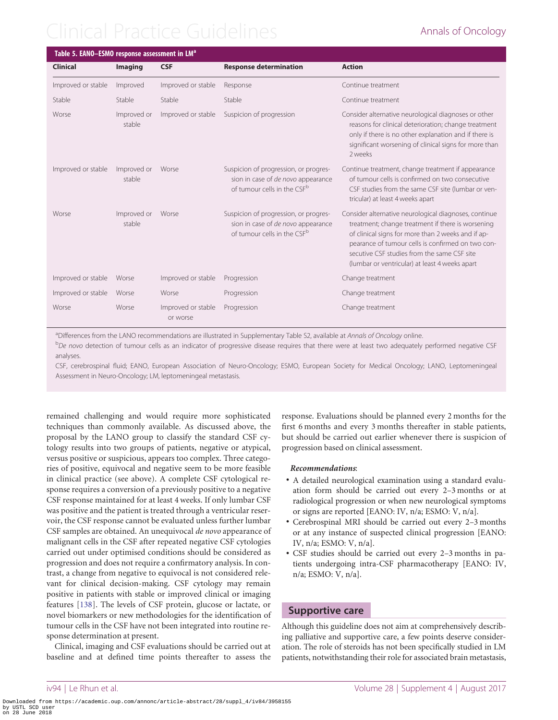<span id="page-10-0"></span>

| Table 5. EANO-ESMO response assessment in LM <sup>a</sup> |                       |                                |                                                                                                                        |                                                                                                                                                                                                                                                                                                                        |  |  |
|-----------------------------------------------------------|-----------------------|--------------------------------|------------------------------------------------------------------------------------------------------------------------|------------------------------------------------------------------------------------------------------------------------------------------------------------------------------------------------------------------------------------------------------------------------------------------------------------------------|--|--|
| <b>Clinical</b>                                           | <b>Imaging</b>        | <b>CSF</b>                     | <b>Response determination</b>                                                                                          | <b>Action</b>                                                                                                                                                                                                                                                                                                          |  |  |
| Improved or stable                                        | Improved              | Improved or stable             | Response                                                                                                               | Continue treatment                                                                                                                                                                                                                                                                                                     |  |  |
| Stable                                                    | Stable                | Stable                         | Stable                                                                                                                 | Continue treatment                                                                                                                                                                                                                                                                                                     |  |  |
| Worse                                                     | Improved or<br>stable | Improved or stable             | Suspicion of progression                                                                                               | Consider alternative neurological diagnoses or other<br>reasons for clinical deterioration; change treatment<br>only if there is no other explanation and if there is<br>significant worsening of clinical signs for more than<br>2 weeks                                                                              |  |  |
| Improved or stable                                        | Improved or<br>stable | Worse                          | Suspicion of progression, or progres-<br>sion in case of de novo appearance<br>of tumour cells in the CSF <sup>b</sup> | Continue treatment, change treatment if appearance<br>of tumour cells is confirmed on two consecutive<br>CSF studies from the same CSF site (lumbar or ven-<br>tricular) at least 4 weeks apart                                                                                                                        |  |  |
| Worse                                                     | Improved or<br>stable | Worse                          | Suspicion of progression, or progres-<br>sion in case of de novo appearance<br>of tumour cells in the CSF <sup>b</sup> | Consider alternative neurological diagnoses, continue<br>treatment; change treatment if there is worsening<br>of clinical signs for more than 2 weeks and if ap-<br>pearance of tumour cells is confirmed on two con-<br>secutive CSE studies from the same CSE site<br>(lumbar or ventricular) at least 4 weeks apart |  |  |
| Improved or stable                                        | Worse                 | Improved or stable             | Progression                                                                                                            | Change treatment                                                                                                                                                                                                                                                                                                       |  |  |
| Improved or stable                                        | Worse                 | Worse                          | Progression                                                                                                            | Change treatment                                                                                                                                                                                                                                                                                                       |  |  |
| Worse                                                     | Worse                 | Improved or stable<br>or worse | Progression                                                                                                            | Change treatment                                                                                                                                                                                                                                                                                                       |  |  |

<sup>a</sup>Differences from the LANO recommendations are illustrated in Supplementary Table S2, available at Annals of Oncology online.

bDe novo detection of tumour cells as an indicator of progressive disease requires that there were at least two adequately performed negative CSF analyses.

CSF, cerebrospinal fluid; EANO, European Association of Neuro-Oncology; ESMO, European Society for Medical Oncology; LANO, Leptomeningeal Assessment in Neuro-Oncology; LM, leptomeningeal metastasis.

remained challenging and would require more sophisticated techniques than commonly available. As discussed above, the proposal by the LANO group to classify the standard CSF cytology results into two groups of patients, negative or atypical, versus positive or suspicious, appears too complex. Three categories of positive, equivocal and negative seem to be more feasible in clinical practice (see above). A complete CSF cytological response requires a conversion of a previously positive to a negative CSF response maintained for at least 4 weeks. If only lumbar CSF was positive and the patient is treated through a ventricular reservoir, the CSF response cannot be evaluated unless further lumbar CSF samples are obtained. An unequivocal de novo appearance of malignant cells in the CSF after repeated negative CSF cytologies carried out under optimised conditions should be considered as progression and does not require a confirmatory analysis. In contrast, a change from negative to equivocal is not considered relevant for clinical decision-making. CSF cytology may remain positive in patients with stable or improved clinical or imaging features [[138](#page-15-0)]. The levels of CSF protein, glucose or lactate, or novel biomarkers or new methodologies for the identification of tumour cells in the CSF have not been integrated into routine response determination at present.

Clinical, imaging and CSF evaluations should be carried out at baseline and at defined time points thereafter to assess the

response. Evaluations should be planned every 2 months for the first 6 months and every 3 months thereafter in stable patients, but should be carried out earlier whenever there is suspicion of progression based on clinical assessment.

#### Recommendations:

- A detailed neurological examination using a standard evaluation form should be carried out every 2–3 months or at radiological progression or when new neurological symptoms or signs are reported [EANO: IV, n/a; ESMO: V, n/a].
- Cerebrospinal MRI should be carried out every 2–3 months or at any instance of suspected clinical progression [EANO: IV, n/a; ESMO: V, n/a].
- CSF studies should be carried out every 2–3 months in patients undergoing intra-CSF pharmacotherapy [EANO: IV, n/a; ESMO: V, n/a].

### Supportive care

Although this guideline does not aim at comprehensively describing palliative and supportive care, a few points deserve consideration. The role of steroids has not been specifically studied in LM patients, notwithstanding their role for associated brain metastasis,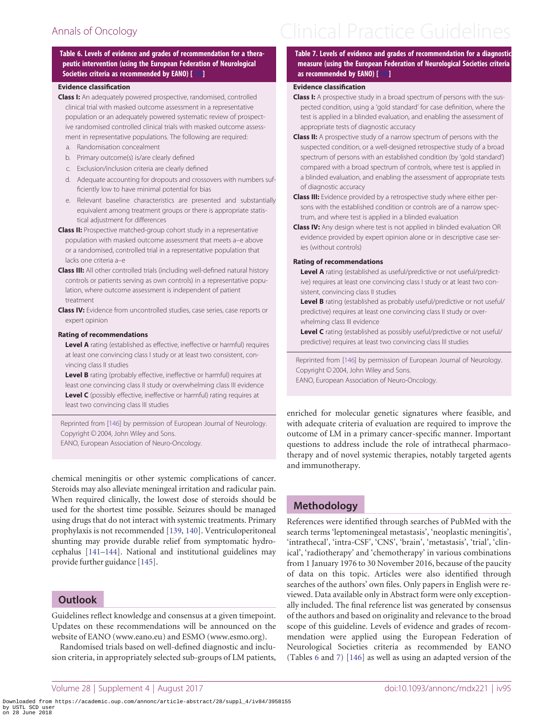Table 6. Levels of evidence and grades of recommendation for a therapeutic intervention (using the European Federation of Neurological Societies criteria as recommended by EANO) [\[146\]](#page-15-0)

#### Evidence classification

- **Class I:** An adequately powered prospective, randomised, controlled clinical trial with masked outcome assessment in a representative population or an adequately powered systematic review of prospective randomised controlled clinical trials with masked outcome assessment in representative populations. The following are required:
	- a. Randomisation concealment
	- b. Primary outcome(s) is/are clearly defined
	- c. Exclusion/inclusion criteria are clearly defined
	- d. Adequate accounting for dropouts and crossovers with numbers sufficiently low to have minimal potential for bias
	- e. Relevant baseline characteristics are presented and substantially equivalent among treatment groups or there is appropriate statistical adjustment for differences
- **Class II:** Prospective matched-group cohort study in a representative population with masked outcome assessment that meets a–e above or a randomised, controlled trial in a representative population that lacks one criteria a–e
- Class III: All other controlled trials (including well-defined natural history controls or patients serving as own controls) in a representative population, where outcome assessment is independent of patient treatment
- Class IV: Evidence from uncontrolled studies, case series, case reports or expert opinion

#### Rating of recommendations

Level A rating (established as effective, ineffective or harmful) requires at least one convincing class I study or at least two consistent, convincing class II studies

Level B rating (probably effective, ineffective or harmful) requires at least one convincing class II study or overwhelming class III evidence Level C (possibly effective, ineffective or harmful) rating requires at least two convincing class III studies

Reprinted from [[146](#page-15-0)] by permission of European Journal of Neurology. Copyright © 2004, John Wiley and Sons. EANO, European Association of Neuro-Oncology.

chemical meningitis or other systemic complications of cancer. Steroids may also alleviate meningeal irritation and radicular pain. When required clinically, the lowest dose of steroids should be used for the shortest time possible. Seizures should be managed using drugs that do not interact with systemic treatments. Primary prophylaxis is not recommended [[139](#page-15-0), [140](#page-15-0)]. Ventriculoperitoneal shunting may provide durable relief from symptomatic hydrocephalus [\[141–144\]](#page-15-0). National and institutional guidelines may provide further guidance [\[145\]](#page-15-0).

### **Outlook**

Guidelines reflect knowledge and consensus at a given timepoint. Updates on these recommendations will be announced on the website of EANO [\(www.eano.eu](http://www.eano.eu)) and ESMO ([www.esmo.org\)](http://www.esmo.org).

Randomised trials based on well-defined diagnostic and inclusion criteria, in appropriately selected sub-groups of LM patients,

## Annals of Oncology **Annals of Oncology Clinical Practice Guidelines**

Table 7. Levels of evidence and grades of recommendation for a diagnostic measure (using the European Federation of Neurological Societies criteria as recommended by EANO) [[146\]](#page-15-0)

#### Evidence classification

- Class I: A prospective study in a broad spectrum of persons with the suspected condition, using a 'gold standard' for case definition, where the test is applied in a blinded evaluation, and enabling the assessment of appropriate tests of diagnostic accuracy
- **Class II:** A prospective study of a narrow spectrum of persons with the suspected condition, or a well-designed retrospective study of a broad spectrum of persons with an established condition (by 'gold standard') compared with a broad spectrum of controls, where test is applied in a blinded evaluation, and enabling the assessment of appropriate tests of diagnostic accuracy
- **Class III:** Evidence provided by a retrospective study where either persons with the established condition or controls are of a narrow spectrum, and where test is applied in a blinded evaluation
- Class IV: Any design where test is not applied in blinded evaluation OR evidence provided by expert opinion alone or in descriptive case series (without controls)

#### Rating of recommendations

Level A rating (established as useful/predictive or not useful/predictive) requires at least one convincing class I study or at least two consistent, convincing class II studies

Level B rating (established as probably useful/predictive or not useful/ predictive) requires at least one convincing class II study or overwhelming class III evidence

Level C rating (established as possibly useful/predictive or not useful/ predictive) requires at least two convincing class III studies

Reprinted from [[146](#page-15-0)] by permission of European Journal of Neurology. Copyright © 2004, John Wiley and Sons. EANO, European Association of Neuro-Oncology.

enriched for molecular genetic signatures where feasible, and with adequate criteria of evaluation are required to improve the outcome of LM in a primary cancer-specific manner. Important questions to address include the role of intrathecal pharmacotherapy and of novel systemic therapies, notably targeted agents and immunotherapy.

### Methodology

References were identified through searches of PubMed with the search terms 'leptomeningeal metastasis', 'neoplastic meningitis', 'intrathecal', 'intra-CSF', 'CNS', 'brain', 'metastasis', 'trial', 'clinical', 'radiotherapy' and 'chemotherapy' in various combinations from 1 January 1976 to 30 November 2016, because of the paucity of data on this topic. Articles were also identified through searches of the authors' own files. Only papers in English were reviewed. Data available only in Abstract form were only exceptionally included. The final reference list was generated by consensus of the authors and based on originality and relevance to the broad scope of this guideline. Levels of evidence and grades of recommendation were applied using the European Federation of Neurological Societies criteria as recommended by EANO (Tables 6 and 7) [[146](#page-15-0)] as well as using an adapted version of the

Volume 28 | Supplement 4 | August 2017 doi:10.1093/annonc/mdx221 | iv95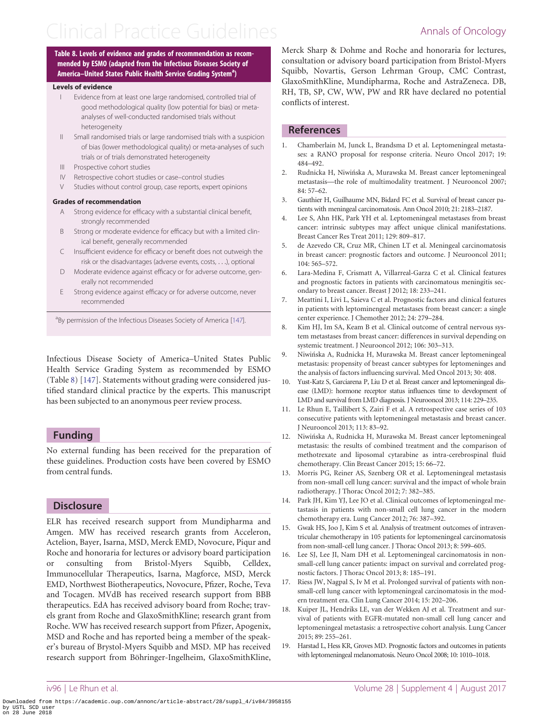<span id="page-12-0"></span>Table 8. Levels of evidence and grades of recommendation as recommended by ESMO (adapted from the Infectious Diseases Society of America–United States Public Health Service Grading System<sup>a</sup>)

#### Levels of evidence

- I Evidence from at least one large randomised, controlled trial of good methodological quality (low potential for bias) or metaanalyses of well-conducted randomised trials without heterogeneity
- If Small randomised trials or large randomised trials with a suspicion of bias (lower methodological quality) or meta-analyses of such trials or of trials demonstrated heterogeneity
- III Prospective cohort studies
- IV Retrospective cohort studies or case–control studies
- V Studies without control group, case reports, expert opinions

#### Grades of recommendation

- A Strong evidence for efficacy with a substantial clinical benefit, strongly recommended
- B Strong or moderate evidence for efficacy but with a limited clinical benefit, generally recommended
- C Insufficient evidence for efficacy or benefit does not outweigh the risk or the disadvantages (adverse events, costs, ...), optional
- D Moderate evidence against efficacy or for adverse outcome, generally not recommended
- E Strong evidence against efficacy or for adverse outcome, never recommended

<sup>a</sup>By permission of the Infectious Diseases Society of America [\[147\]](#page-15-0).

Infectious Disease Society of America–United States Public Health Service Grading System as recommended by ESMO (Table 8) [\[147\]](#page-15-0). Statements without grading were considered justified standard clinical practice by the experts. This manuscript has been subjected to an anonymous peer review process.

#### Funding

No external funding has been received for the preparation of these guidelines. Production costs have been covered by ESMO from central funds.

#### **Disclosure**

ELR has received research support from Mundipharma and Amgen. MW has received research grants from Acceleron, Actelion, Bayer, Isarna, MSD, Merck EMD, Novocure, Piqur and Roche and honoraria for lectures or advisory board participation or consulting from Bristol-Myers Squibb, Celldex, Immunocellular Therapeutics, Isarna, Magforce, MSD, Merck EMD, Northwest Biotherapeutics, Novocure, Pfizer, Roche, Teva and Tocagen. MVdB has received research support from BBB therapeutics. EdA has received advisory board from Roche; travels grant from Roche and GlaxoSmithKline; research grant from Roche. WW has received research support from Pfizer, Apogenix, MSD and Roche and has reported being a member of the speaker's bureau of Brystol-Myers Squibb and MSD. MP has received research support from Böhringer-Ingelheim, GlaxoSmithKline,

Merck Sharp & Dohme and Roche and honoraria for lectures, consultation or advisory board participation from Bristol-Myers Squibb, Novartis, Gerson Lehrman Group, CMC Contrast, GlaxoSmithKline, Mundipharma, Roche and AstraZeneca. DB, RH, TB, SP, CW, WW, PW and RR have declared no potential conflicts of interest.

### References

- 1. Chamberlain M, Junck L, Brandsma D et al. Leptomeningeal metastases: a RANO proposal for response criteria. Neuro Oncol 2017; 19: 484–492.
- 2. Rudnicka H, Niwinska A, Murawska M. Breast cancer leptomeningeal metastasis—the role of multimodality treatment. J Neurooncol 2007; 84: 57–62.
- 3. Gauthier H, Guilhaume MN, Bidard FC et al. Survival of breast cancer patients with meningeal carcinomatosis. Ann Oncol 2010; 21: 2183–2187.
- 4. Lee S, Ahn HK, Park YH et al. Leptomeningeal metastases from breast cancer: intrinsic subtypes may affect unique clinical manifestations. Breast Cancer Res Treat 2011; 129: 809–817.
- 5. de Azevedo CR, Cruz MR, Chinen LT et al. Meningeal carcinomatosis in breast cancer: prognostic factors and outcome. J Neurooncol 2011; 104: 565–572.
- Lara-Medina F, Crismatt A, Villarreal-Garza C et al. Clinical features and prognostic factors in patients with carcinomatous meningitis secondary to breast cancer. Breast J 2012; 18: 233–241.
- 7. Meattini I, Livi L, Saieva C et al. Prognostic factors and clinical features in patients with leptominengeal metastases from breast cancer: a single center experience. J Chemother 2012; 24: 279–284.
- 8. Kim HJ, Im SA, Keam B et al. Clinical outcome of central nervous system metastases from breast cancer: differences in survival depending on systemic treatment. J Neurooncol 2012; 106: 303–313.
- 9. Niwinska A, Rudnicka H, Murawska M. Breast cancer leptomeningeal metastasis: propensity of breast cancer subtypes for leptomeninges and the analysis of factors influencing survival. Med Oncol 2013; 30: 408.
- 10. Yust-Katz S, Garciarena P, Liu D et al. Breast cancer and leptomeningeal disease (LMD): hormone receptor status influences time to development of LMD and survival from LMD diagnosis. J Neurooncol 2013; 114: 229–235.
- 11. Le Rhun E, Taillibert S, Zairi F et al. A retrospective case series of 103 consecutive patients with leptomeningeal metastasis and breast cancer. J Neurooncol 2013; 113: 83–92.
- 12. Niwinska A, Rudnicka H, Murawska M. Breast cancer leptomeningeal metastasis: the results of combined treatment and the comparison of methotrexate and liposomal cytarabine as intra-cerebrospinal fluid chemotherapy. Clin Breast Cancer 2015; 15: 66–72.
- 13. Morris PG, Reiner AS, Szenberg OR et al. Leptomeningeal metastasis from non-small cell lung cancer: survival and the impact of whole brain radiotherapy. J Thorac Oncol 2012; 7: 382–385.
- 14. Park JH, Kim YJ, Lee JO et al. Clinical outcomes of leptomeningeal metastasis in patients with non-small cell lung cancer in the modern chemotherapy era. Lung Cancer 2012; 76: 387–392.
- 15. Gwak HS, Joo J, Kim S et al. Analysis of treatment outcomes of intraventricular chemotherapy in 105 patients for leptomeningeal carcinomatosis from non-small-cell lung cancer. J Thorac Oncol 2013; 8: 599–605.
- 16. Lee SJ, Lee JI, Nam DH et al. Leptomeningeal carcinomatosis in nonsmall-cell lung cancer patients: impact on survival and correlated prognostic factors. J Thorac Oncol 2013; 8: 185–191.
- 17. Riess JW, Nagpal S, Iv M et al. Prolonged survival of patients with nonsmall-cell lung cancer with leptomeningeal carcinomatosis in the modern treatment era. Clin Lung Cancer 2014; 15: 202–206.
- 18. Kuiper JL, Hendriks LE, van der Wekken AJ et al. Treatment and survival of patients with EGFR-mutated non-small cell lung cancer and leptomeningeal metastasis: a retrospective cohort analysis. Lung Cancer 2015; 89: 255–261.
- 19. Harstad L, Hess KR, Groves MD. Prognostic factors and outcomes in patients with leptomeningeal melanomatosis. Neuro Oncol 2008; 10: 1010–1018.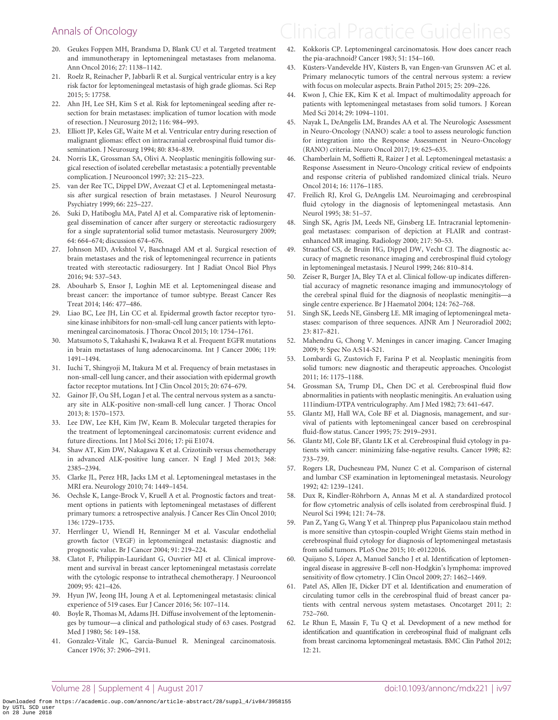- 20. Geukes Foppen MH, Brandsma D, Blank CU et al. Targeted treatment and immunotherapy in leptomeningeal metastases from melanoma. Ann Oncol 2016; 27: 1138–1142.
- 21. Roelz R, Reinacher P, Jabbarli R et al. Surgical ventricular entry is a key risk factor for leptomeningeal metastasis of high grade gliomas. Sci Rep 2015; 5: 17758.
- 22. Ahn JH, Lee SH, Kim S et al. Risk for leptomeningeal seeding after resection for brain metastases: implication of tumor location with mode of resection. J Neurosurg 2012; 116: 984–993.
- 23. Elliott JP, Keles GE, Waite M et al. Ventricular entry during resection of malignant gliomas: effect on intracranial cerebrospinal fluid tumor dissemination. J Neurosurg 1994; 80: 834–839.
- 24. Norris LK, Grossman SA, Olivi A. Neoplastic meningitis following surgical resection of isolated cerebellar metastasis: a potentially preventable complication. J Neurooncol 1997; 32: 215–223.
- 25. van der Ree TC, Dippel DW, Avezaat CJ et al. Leptomeningeal metastasis after surgical resection of brain metastases. J Neurol Neurosurg Psychiatry 1999; 66: 225–227.
- 26. Suki D, Hatiboglu MA, Patel AJ et al. Comparative risk of leptomeningeal dissemination of cancer after surgery or stereotactic radiosurgery for a single supratentorial solid tumor metastasis. Neurosurgery 2009; 64: 664–674; discussion 674–676.
- 27. Johnson MD, Avkshtol V, Baschnagel AM et al. Surgical resection of brain metastases and the risk of leptomeningeal recurrence in patients treated with stereotactic radiosurgery. Int J Radiat Oncol Biol Phys 2016; 94: 537–543.
- 28. Abouharb S, Ensor J, Loghin ME et al. Leptomeningeal disease and breast cancer: the importance of tumor subtype. Breast Cancer Res Treat 2014; 146: 477–486.
- 29. Liao BC, Lee JH, Lin CC et al. Epidermal growth factor receptor tyrosine kinase inhibitors for non-small-cell lung cancer patients with leptomeningeal carcinomatosis. J Thorac Oncol 2015; 10: 1754–1761.
- 30. Matsumoto S, Takahashi K, Iwakawa R et al. Frequent EGFR mutations in brain metastases of lung adenocarcinoma. Int J Cancer 2006; 119: 1491–1494.
- 31. Iuchi T, Shingyoji M, Itakura M et al. Frequency of brain metastases in non-small-cell lung cancer, and their association with epidermal growth factor receptor mutations. Int J Clin Oncol 2015; 20: 674–679.
- 32. Gainor JF, Ou SH, Logan J et al. The central nervous system as a sanctuary site in ALK-positive non-small-cell lung cancer. J Thorac Oncol 2013; 8: 1570–1573.
- 33. Lee DW, Lee KH, Kim JW, Keam B. Molecular targeted therapies for the treatment of leptomeningeal carcinomatosis: current evidence and future directions. Int J Mol Sci 2016; 17: pii E1074.
- 34. Shaw AT, Kim DW, Nakagawa K et al. Crizotinib versus chemotherapy in advanced ALK-positive lung cancer. N Engl J Med 2013; 368: 2385–2394.
- 35. Clarke JL, Perez HR, Jacks LM et al. Leptomeningeal metastases in the MRI era. Neurology 2010; 74: 1449–1454.
- 36. Oechsle K, Lange-Brock V, Kruell A et al. Prognostic factors and treatment options in patients with leptomeningeal metastases of different primary tumors: a retrospective analysis. J Cancer Res Clin Oncol 2010; 136: 1729–1735.
- 37. Herrlinger U, Wiendl H, Renninger M et al. Vascular endothelial growth factor (VEGF) in leptomeningeal metastasis: diagnostic and prognostic value. Br J Cancer 2004; 91: 219–224.
- 38. Clatot F, Philippin-Lauridant G, Ouvrier MJ et al. Clinical improvement and survival in breast cancer leptomeningeal metastasis correlate with the cytologic response to intrathecal chemotherapy. J Neurooncol 2009; 95: 421–426.
- 39. Hyun JW, Jeong IH, Joung A et al. Leptomeningeal metastasis: clinical experience of 519 cases. Eur J Cancer 2016; 56: 107–114.
- 40. Boyle R, Thomas M, Adams JH. Diffuse involvement of the leptomeninges by tumour—a clinical and pathological study of 63 cases. Postgrad Med J 1980; 56: 149–158.
- 41. Gonzalez-Vitale JC, Garcia-Bunuel R. Meningeal carcinomatosis. Cancer 1976; 37: 2906–2911.

### <span id="page-13-0"></span>42. Kokkoris CP. Leptomeningeal carcinomatosis. How does cancer reach Annals of Oncology **Annals of Oncology** Clinical Practice Guidelines

- the pia-arachnoid? Cancer 1983; 51: 154–160.
- 43. Küsters-Vandevelde HV, Küsters B, van Engen-van Grunsven AC et al. Primary melanocytic tumors of the central nervous system: a review with focus on molecular aspects. Brain Pathol 2015; 25: 209–226.
- 44. Kwon J, Chie EK, Kim K et al. Impact of multimodality approach for patients with leptomeningeal metastases from solid tumors. J Korean Med Sci 2014; 29: 1094–1101.
- 45. Nayak L, DeAngelis LM, Brandes AA et al. The Neurologic Assessment in Neuro-Oncology (NANO) scale: a tool to assess neurologic function for integration into the Response Assessment in Neuro-Oncology (RANO) criteria. Neuro Oncol 2017; 19: 625–635.
- 46. Chamberlain M, Soffietti R, Raizer J et al. Leptomeningeal metastasis: a Response Assessment in Neuro-Oncology critical review of endpoints and response criteria of published randomized clinical trials. Neuro Oncol 2014; 16: 1176–1185.
- 47. Freilich RJ, Krol G, DeAngelis LM. Neuroimaging and cerebrospinal fluid cytology in the diagnosis of leptomeningeal metastasis. Ann Neurol 1995; 38: 51–57.
- 48. Singh SK, Agris JM, Leeds NE, Ginsberg LE. Intracranial leptomeningeal metastases: comparison of depiction at FLAIR and contrastenhanced MR imaging. Radiology 2000; 217: 50–53.
- 49. Straathof CS, de Bruin HG, Dippel DW, Vecht CJ. The diagnostic accuracy of magnetic resonance imaging and cerebrospinal fluid cytology in leptomeningeal metastasis. J Neurol 1999; 246: 810–814.
- 50. Zeiser R, Burger JA, Bley TA et al. Clinical follow-up indicates differential accuracy of magnetic resonance imaging and immunocytology of the cerebral spinal fluid for the diagnosis of neoplastic meningitis—a single centre experience. Br J Haematol 2004; 124: 762–768.
- 51. Singh SK, Leeds NE, Ginsberg LE. MR imaging of leptomeningeal metastases: comparison of three sequences. AJNR Am J Neuroradiol 2002; 23: 817–821.
- 52. Mahendru G, Chong V. Meninges in cancer imaging. Cancer Imaging 2009; 9: Spec No A:S14-S21.
- 53. Lombardi G, Zustovich F, Farina P et al. Neoplastic meningitis from solid tumors: new diagnostic and therapeutic approaches. Oncologist 2011; 16: 1175–1188.
- 54. Grossman SA, Trump DL, Chen DC et al. Cerebrospinal fluid flow abnormalities in patients with neoplastic meningitis. An evaluation using 111indium-DTPA ventriculography. Am J Med 1982; 73: 641–647.
- 55. Glantz MJ, Hall WA, Cole BF et al. Diagnosis, management, and survival of patients with leptomeningeal cancer based on cerebrospinal fluid-flow status. Cancer 1995; 75: 2919–2931.
- 56. Glantz MJ, Cole BF, Glantz LK et al. Cerebrospinal fluid cytology in patients with cancer: minimizing false-negative results. Cancer 1998; 82: 733–739.
- 57. Rogers LR, Duchesneau PM, Nunez C et al. Comparison of cisternal and lumbar CSF examination in leptomeningeal metastasis. Neurology 1992; 42: 1239–1241.
- 58. Dux R, Kindler-Röhrborn A, Annas M et al. A standardized protocol for flow cytometric analysis of cells isolated from cerebrospinal fluid. J Neurol Sci 1994; 121: 74–78.
- 59. Pan Z, Yang G, Wang Y et al. Thinprep plus Papanicolaou stain method is more sensitive than cytospin-coupled Wright Giems stain method in cerebrospinal fluid cytology for diagnosis of leptomeningeal metastasis from solid tumors. PLoS One 2015; 10: e0122016.
- 60. Quijano S, Lopez A, Manuel Sancho J et al. Identification of leptomen ingeal disease in aggressive B-cell non-Hodgkin's lymphoma: improved sensitivity of flow cytometry. J Clin Oncol 2009; 27: 1462–1469.
- 61. Patel AS, Allen JE, Dicker DT et al. Identification and enumeration of circulating tumor cells in the cerebrospinal fluid of breast cancer patients with central nervous system metastases. Oncotarget 2011; 2: 752–760.
- 62. Le Rhun E, Massin F, Tu Q et al. Development of a new method for identification and quantification in cerebrospinal fluid of malignant cells from breast carcinoma leptomeningeal metastasis. BMC Clin Pathol 2012; 12: 21.

#### Volume 28 | Supplement 4 | August 2017 doi:10.1093/annonc/mdx221 | iv97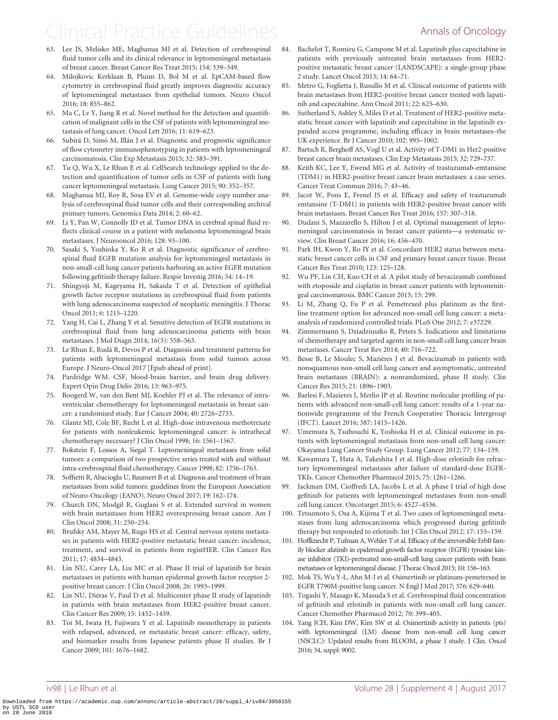- <span id="page-14-0"></span>63. Lee JS, Melisko ME, Magbanua MJ et al. Detection of cerebrospinal fluid tumor cells and its clinical relevance in leptomeningeal metastasis of breast cancer. Breast Cancer Res Treat 2015; 154: 339–349.
- 64. Milojkovic Kerklaan B, Pluim D, Bol M et al. EpCAM-based flow cytometry in cerebrospinal fluid greatly improves diagnostic accuracy of leptomeningeal metastases from epithelial tumors. Neuro Oncol 2016; 18: 855–862.
- 65. Ma C, Lv Y, Jiang R et al. Novel method for the detection and quantification of malignant cells in the CSF of patients with leptomeningeal metastasis of lung cancer. Oncol Lett 2016; 11: 619–623.
- 66. Subirá D, Simó M, Illán J et al. Diagnostic and prognostic significance of flow cytometry immunophenotyping in patients with leptomeningeal carcinomatosis. Clin Exp Metastasis 2015; 32: 383–391.
- 67. Tu Q, Wu X, Le Rhun E et al. CellSearch technology applied to the detection and quantification of tumor cells in CSF of patients with lung cancer leptomeningeal metastasis. Lung Cancer 2015; 90: 352–357.
- 68. Magbanua MJ, Roy R, Sosa EV et al. Genome-wide copy number analysis of cerebrospinal fluid tumor cells and their corresponding archival primary tumors. Genomics Data 2014; 2: 60–62.
- 69. Li Y, Pan W, Connolly ID et al. Tumor DNA in cerebral spinal fluid reflects clinical course in a patient with melanoma leptomeningeal brain metastases. J Neurooncol 2016; 128: 93–100.
- 70. Sasaki S, Yoshioka Y, Ko R et al. Diagnostic significance of cerebrospinal fluid EGFR mutation analysis for leptomeningeal metastasis in non-small-cell lung cancer patients harboring an active EGFR mutation following gefitinib therapy failure. Respir Investig 2016; 54: 14–19.
- 71. Shingyoji M, Kageyama H, Sakaida T et al. Detection of epithelial growth factor receptor mutations in cerebrospinal fluid from patients with lung adenocarcinoma suspected of neoplastic meningitis. J Thorac Oncol 2011; 6: 1215–1220.
- 72. Yang H, Cai L, Zhang Y et al. Sensitive detection of EGFR mutations in cerebrospinal fluid from lung adenocarcinoma patients with brain metastases. J Mol Diagn 2014; 16(5): 558–563.
- 73. Le Rhun E, Ruda R, Devos P et al. Diagnosis and treatment patterns for patients with leptomeningeal metastasis from solid tumors across Europe. J Neuro-Oncol 2017 [Epub ahead of print].
- 74. Pardridge WM. CSF, blood-brain barrier, and brain drug delivery. Expert Opin Drug Deliv 2016; 13: 963–975.
- 75. Boogerd W, van den Bent MJ, Koehler PJ et al. The relevance of intraventricular chemotherapy for leptomeningeal metastasis in breast cancer: a randomised study. Eur J Cancer 2004; 40: 2726–2733.
- 76. Glantz MJ, Cole BF, Recht L et al. High-dose intravenous methotrexate for patients with nonleukemic leptomeningeal cancer: is intrathecal chemotherapy necessary? J Clin Oncol 1998; 16: 1561–1567.
- 77. Bokstein F, Lossos A, Siegal T. Leptomeningeal metastases from solid tumors: a comparison of two prospective series treated with and without intra-cerebrospinal fluid chemotherapy. Cancer 1998; 82: 1756–1763.
- 78. Soffietti R, Abacioglu U, Baumert B et al. Diagnosis and treatment of brain metastases from solid tumors: guidelines from the European Association of Neuro-Oncology (EANO). Neuro Oncol 2017; 19: 162–174.
- 79. Church DN, Modgil R, Guglani S et al. Extended survival in women with brain metastases from HER2 overexpressing breast cancer. Am J Clin Oncol 2008; 31: 250–254.
- 80. Brufsky AM, Mayer M, Rugo HS et al. Central nervous system metastases in patients with HER2-positive metastatic breast cancer: incidence, treatment, and survival in patients from registHER. Clin Cancer Res 2011; 17: 4834–4843.
- 81. Lin NU, Carey LA, Liu MC et al. Phase II trial of lapatinib for brain metastases in patients with human epidermal growth factor receptor 2 positive breast cancer. J Clin Oncol 2008; 26: 1993–1999.
- 82. Lin NU, Diéras V, Paul D et al. Multicenter phase II study of lapatinib in patients with brain metastases from HER2-positive breast cancer. Clin Cancer Res 2009; 15: 1452–1459.
- 83. Toi M, Iwata H, Fujiwara Y et al. Lapatinib monotherapy in patients with relapsed, advanced, or metastatic breast cancer: efficacy, safety, and biomarker results from Japanese patients phase II studies. Br J Cancer 2009; 101: 1676–1682.
- 84. Bachelot T, Romieu G, Campone M et al. Lapatinib plus capecitabine in patients with previously untreated brain metastases from HER2 positive metastatic breast cancer (LANDSCAPE): a single-group phase 2 study. Lancet Oncol 2013; 14: 64–71.
- 85. Metro G, Foglietta J, Russillo M et al. Clinical outcome of patients with brain metastases from HER2-positive breast cancer treated with lapatinib and capecitabine. Ann Oncol 2011; 22: 625–630.
- 86. Sutherland S, Ashley S, Miles D et al. Treatment of HER2-positive metastatic breast cancer with lapatinib and capecitabine in the lapatinib expanded access programme, including efficacy in brain metastases–the UK experience. Br J Cancer 2010; 102: 995–1002.
- 87. Bartsch R, Berghoff AS, Vogl U et al. Activity of T-DM1 in Her2-positive breast cancer brain metastases. Clin Exp Metastasis 2015; 32: 729–737.
- 88. Keith KC, Lee Y, Ewend MG et al. Activity of trastuzumab-emtansine (TDM1) in HER2-positive breast cancer brain metastases: a case series. Cancer Treat Commun 2016; 7: 43–46.
- 89. Jacot W, Pons E, Frenel JS et al. Efficacy and safety of trastuzumab emtansine (T-DM1) in patients with HER2-positive breast cancer with brain metastases. Breast Cancer Res Treat 2016; 157: 307–318.
- 90. Dudani S, Mazzarello S, Hilton J et al. Optimal management of leptomeningeal carcinomatosis in breast cancer patients—a systematic review. Clin Breast Cancer 2016; 16: 456–470.
- 91. Park IH, Kwon Y, Ro JY et al. Concordant HER2 status between metastatic breast cancer cells in CSF and primary breast cancer tissue. Breast Cancer Res Treat 2010; 123: 125–128.
- 92. Wu PF, Lin CH, Kuo CH et al. A pilot study of bevacizumab combined with etoposide and cisplatin in breast cancer patients with leptomeningeal carcinomatosis. BMC Cancer 2015; 15: 299.
- 93. Li M, Zhang Q, Fu P et al. Pemetrexed plus platinum as the firstline treatment option for advanced non-small cell lung cancer: a metaanalysis of randomized controlled trials. PLoS One 2012; 7: e37229.
- 94. Zimmermann S, Dziadziuszko R, Peters S. Indications and limitations of chemotherapy and targeted agents in non-small cell lung cancer brain metastases. Cancer Treat Rev 2014; 40: 716–722.
- 95. Besse B, Le Moulec S, Mazières J et al. Bevacizumab in patients with nonsquamous non-small cell lung cancer and asymptomatic, untreated brain metastases (BRAIN): a nonrandomized, phase II study. Clin Cancer Res 2015; 21: 1896–1903.
- 96. Barlesi F, Mazieres J, Merlio JP et al. Routine molecular profiling of patients with advanced non-small-cell lung cancer: results of a 1-year nationwide programme of the French Cooperative Thoracic Intergroup (IFCT). Lancet 2016; 387: 1415–1426.
- 97. Umemura S, Tsubouchi K, Yoshioka H et al. Clinical outcome in patients with leptomeningeal metastasis from non-small cell lung cancer: Okayama Lung Cancer Study Group. Lung Cancer 2012; 77: 134–139.
- 98. Kawamura T, Hata A, Takeshita J et al. High-dose erlotinib for refractory leptomeningeal metastases after failure of standard-dose EGFR-TKIs. Cancer Chemother Pharmacol 2015; 75: 1261–1266.
- 99. Jackman DM, Cioffredi LA, Jacobs L et al. A phase I trial of high dose gefitinib for patients with leptomeningeal metastases from non-small cell lung cancer. Oncotarget 2015; 6: 4527–4536.
- 100. Tetsumoto S, Osa A, Kijima T et al. Two cases of leptomeningeal metastases from lung adenocarcinoma which progressed during gefitinib therapy but responded to erlotinib. Int J Clin Oncol 2012; 17: 155–159.
- 101. Hoffknecht P, Tufman A, Wehler T et al. Efficacy of the irreversible ErbB family blocker afatinib in epidermal growth factor receptor (EGFR) tyrosine kinase inhibitor (TKI)-pretreated non-small-cell lung cancer patients with brain metastases or leptomeningeal disease. J Thorac Oncol 2015; 10: 156–163.
- 102. Mok TS, Wu Y-L, Ahn M-J et al. Osimertinib or platinum-pemetrexed in EGFR T790M-positive lung cancer. N Engl J Med 2017; 376: 629–640.
- 103. Togashi Y, Masago K, Masuda S et al. Cerebrospinal fluid concentration of gefitinib and erlotinib in patients with non-small cell lung cancer. Cancer Chemother Pharmacol 2012; 70: 399–405.
- 104. Yang JCH, Kim DW, Kim SW et al. Osimertinib activity in patients (pts) with leptomeningeal (LM) disease from non-small cell lung cancer (NSCLC): Updated results from BLOOM, a phase I study. J Clin. Oncol 2016; 34, suppl: 9002.